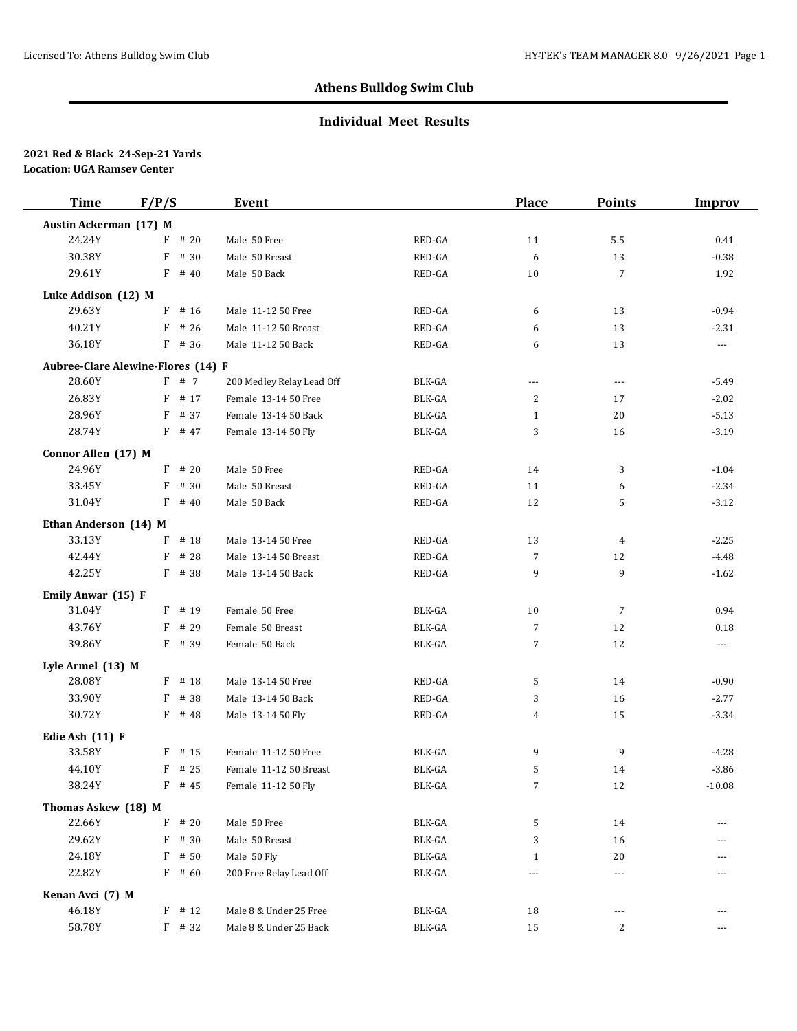## **Individual Meet Results**

| <b>Time</b>                        | F/P/S |          | Event                     |                         | <b>Place</b>   | <b>Points</b>  | <b>Improv</b>        |
|------------------------------------|-------|----------|---------------------------|-------------------------|----------------|----------------|----------------------|
| Austin Ackerman (17) M             |       |          |                           |                         |                |                |                      |
| 24.24Y                             |       | $F$ # 20 | Male 50 Free              | RED-GA                  | 11             | 5.5            | 0.41                 |
| 30.38Y                             | F     | # 30     | Male 50 Breast            | RED-GA                  | 6              | 13             | $-0.38$              |
| 29.61Y                             |       | $F$ # 40 | Male 50 Back              | RED-GA                  | 10             | $\overline{7}$ | 1.92                 |
| Luke Addison (12) M                |       |          |                           |                         |                |                |                      |
| 29.63Y                             | F     | # 16     | Male 11-12 50 Free        | RED-GA                  | 6              | 13             | $-0.94$              |
| 40.21Y                             | F     | # 26     | Male 11-12 50 Breast      | RED-GA                  | 6              | 13             | $-2.31$              |
| 36.18Y                             |       | $F$ # 36 | Male 11-12 50 Back        | RED-GA                  | 6              | 13             | $\scriptstyle\cdots$ |
| Aubree-Clare Alewine-Flores (14) F |       |          |                           |                         |                |                |                      |
| 28.60Y                             |       | F # 7    | 200 Medley Relay Lead Off | BLK-GA                  | $---$          | $\overline{a}$ | $-5.49$              |
| 26.83Y                             |       | $F$ # 17 | Female 13-14 50 Free      | BLK-GA                  | 2              | 17             | $-2.02$              |
| 28.96Y                             |       | $F$ # 37 | Female 13-14 50 Back      | BLK-GA                  | $\mathbf{1}$   | 20             | $-5.13$              |
| 28.74Y                             |       | F # 47   | Female 13-14 50 Fly       | BLK-GA                  | 3              | 16             | $-3.19$              |
| Connor Allen (17) M                |       |          |                           |                         |                |                |                      |
| 24.96Y                             |       | $F$ # 20 | Male 50 Free              | RED-GA                  | 14             | 3              | $-1.04$              |
| 33.45Y                             |       | $F$ # 30 | Male 50 Breast            | RED-GA                  | 11             | 6              | $-2.34$              |
| 31.04Y                             |       | $F$ # 40 | Male 50 Back              | RED-GA                  | 12             | 5              | $-3.12$              |
| Ethan Anderson (14) M              |       |          |                           |                         |                |                |                      |
| 33.13Y                             | F     | # 18     | Male 13-14 50 Free        | RED-GA                  | 13             | 4              | $-2.25$              |
| 42.44Y                             | F     | # 28     | Male 13-14 50 Breast      | RED-GA                  | $\overline{7}$ | 12             | $-4.48$              |
| 42.25Y                             |       | F # 38   | Male 13-14 50 Back        | RED-GA                  | 9              | 9              | $-1.62$              |
| Emily Anwar (15) F                 |       |          |                           |                         |                |                |                      |
| 31.04Y                             |       | $F$ # 19 | Female 50 Free            | BLK-GA                  | 10             | 7              | 0.94                 |
| 43.76Y                             |       | $F$ # 29 | Female 50 Breast          | BLK-GA                  | 7              | 12             | 0.18                 |
| 39.86Y                             |       | $F$ # 39 | Female 50 Back            | BLK-GA                  | 7              | 12             | ---                  |
| Lyle Armel (13) M                  |       |          |                           |                         |                |                |                      |
| 28.08Y                             |       | $F$ # 18 | Male 13-14 50 Free        | RED-GA                  | 5              | 14             | $-0.90$              |
| 33.90Y                             | F     | # 38     | Male 13-14 50 Back        | RED-GA                  | 3              | 16             | $-2.77$              |
| 30.72Y                             |       | $F$ # 48 | Male 13-14 50 Fly         | RED-GA                  | 4              | 15             | $-3.34$              |
| Edie Ash (11) F                    |       |          |                           |                         |                |                |                      |
| 33.58Y                             |       | $F$ # 15 | Female 11-12 50 Free      | BLK-GA                  | 9              | 9              | $-4.28$              |
| 44.10Y                             |       | $F$ # 25 | Female 11-12 50 Breast    | BLK-GA                  | 5              | 14             | $-3.86$              |
| 38.24Y                             |       | $F$ # 45 | Female 11-12 50 Fly       | BLK-GA                  | $\overline{7}$ | 12             | $-10.08$             |
| Thomas Askew (18) M                |       |          |                           |                         |                |                |                      |
| 22.66Y                             |       | $F$ # 20 | Male 50 Free              | BLK-GA                  | 5              | 14             | ---                  |
| 29.62Y                             | F     | # 30     | Male 50 Breast            | BLK-GA                  | 3              | 16             |                      |
| 24.18Y                             | F     | # 50     | Male 50 Fly               | BLK-GA                  | $\mathbf{1}$   | 20             | ---                  |
| 22.82Y                             |       | $F$ # 60 | 200 Free Relay Lead Off   | BLK-GA                  | $\cdots$       | ---            | ---                  |
| Kenan Avci (7) M                   |       |          |                           |                         |                |                |                      |
| 46.18Y                             |       | $F$ # 12 | Male 8 & Under 25 Free    | $\operatorname{BLK-GA}$ | 18             | ---            | ---                  |
| 58.78Y                             |       | $F$ # 32 | Male 8 & Under 25 Back    | $\operatorname{BLK-GA}$ | 15             | 2              | $---$                |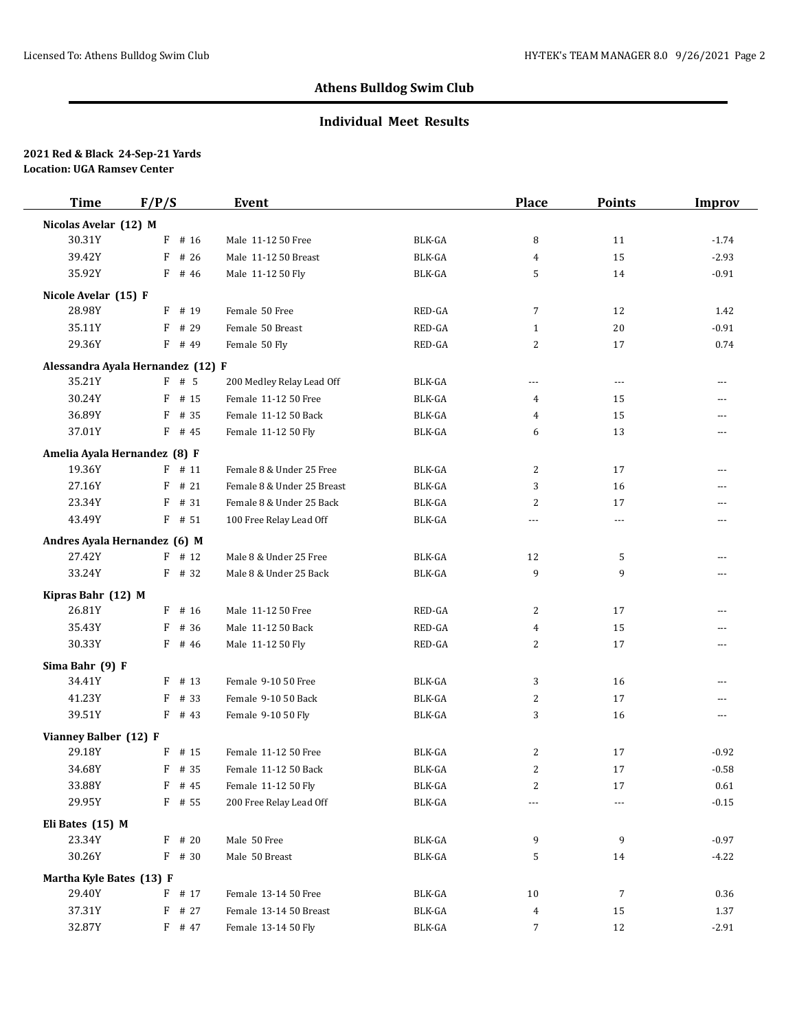## **Individual Meet Results**

| <b>Time</b>              | F/P/S                             | Event                      |               | <b>Place</b>   | <b>Points</b> | <b>Improv</b>  |
|--------------------------|-----------------------------------|----------------------------|---------------|----------------|---------------|----------------|
| Nicolas Avelar (12) M    |                                   |                            |               |                |               |                |
| 30.31Y                   | F<br># 16                         | Male 11-12 50 Free         | BLK-GA        | 8              | 11            | $-1.74$        |
| 39.42Y                   | F<br># 26                         | Male 11-12 50 Breast       | BLK-GA        | 4              | 15            | $-2.93$        |
| 35.92Y                   | $F$ # 46                          | Male 11-12 50 Fly          | <b>BLK-GA</b> | 5              | 14            | $-0.91$        |
| Nicole Avelar (15) F     |                                   |                            |               |                |               |                |
| 28.98Y                   | $F$ # 19                          | Female 50 Free             | RED-GA        | $\overline{7}$ | 12            | 1.42           |
| 35.11Y                   | F<br># 29                         | Female 50 Breast           | RED-GA        | $\mathbf{1}$   | 20            | $-0.91$        |
| 29.36Y                   | F # 49                            | Female 50 Fly              | RED-GA        | 2              | 17            | 0.74           |
|                          | Alessandra Ayala Hernandez (12) F |                            |               |                |               |                |
| 35.21Y                   | $F$ # 5                           | 200 Medley Relay Lead Off  | BLK-GA        | $\cdots$       | $---$         | ---            |
| 30.24Y                   | # 15<br>F                         | Female 11-12 50 Free       | <b>BLK-GA</b> | 4              | 15            | $\overline{a}$ |
| 36.89Y                   | F<br># 35                         | Female 11-12 50 Back       | BLK-GA        | 4              | 15            | $---$          |
| 37.01Y                   | $F$ # 45                          | Female 11-12 50 Fly        | BLK-GA        | 6              | 13            | ---            |
|                          | Amelia Ayala Hernandez (8) F      |                            |               |                |               |                |
| 19.36Y                   | $F$ # 11                          | Female 8 & Under 25 Free   | BLK-GA        | 2              | 17            | $\overline{a}$ |
| 27.16Y                   | #21<br>F                          | Female 8 & Under 25 Breast | BLK-GA        | 3              | 16            | ---            |
| 23.34Y                   | $F$ # 31                          | Female 8 & Under 25 Back   | BLK-GA        | 2              | 17            | $---$          |
| 43.49Y                   | $F$ # 51                          | 100 Free Relay Lead Off    | BLK-GA        | ---            | $---$         | $\overline{a}$ |
|                          |                                   |                            |               |                |               |                |
|                          | Andres Ayala Hernandez (6) M      |                            |               |                |               |                |
| 27.42Y                   | $F$ # 12                          | Male 8 & Under 25 Free     | <b>BLK-GA</b> | 12<br>9        | 5<br>9        | ---            |
| 33.24Y                   | $F$ # 32                          | Male 8 & Under 25 Back     | BLK-GA        |                |               | ---            |
| Kipras Bahr (12) M       |                                   |                            |               |                |               |                |
| 26.81Y                   | $F$ # 16                          | Male 11-12 50 Free         | RED-GA        | 2              | 17            | ---            |
| 35.43Y                   | F<br># 36                         | Male 11-12 50 Back         | RED-GA        | 4              | 15            | ---            |
| 30.33Y                   | $F$ # 46                          | Male 11-12 50 Fly          | RED-GA        | 2              | 17            | ---            |
| Sima Bahr (9) F          |                                   |                            |               |                |               |                |
| 34.41Y                   | # 13<br>F                         | Female 9-10 50 Free        | <b>BLK-GA</b> | 3              | 16            | $---$          |
| 41.23Y                   | F<br># 33                         | Female 9-10 50 Back        | <b>BLK-GA</b> | 2              | 17            | ---            |
| 39.51Y                   | $F$ # 43                          | Female 9-10 50 Fly         | <b>BLK-GA</b> | 3              | 16            | $\overline{a}$ |
| Vianney Balber (12) F    |                                   |                            |               |                |               |                |
| 29.18Y                   | $F$ # 15                          | Female 11-12 50 Free       | <b>BLK-GA</b> | 2              | 17            | $-0.92$        |
| 34.68Y                   | $F$ # 35                          | Female 11-12 50 Back       | <b>BLK-GA</b> | 2              | 17            | $-0.58$        |
| 33.88Y                   | F # 45                            | Female 11-12 50 Fly        | BLK-GA        | 2              | 17            | 0.61           |
| 29.95Y                   | $F$ # 55                          | 200 Free Relay Lead Off    | BLK-GA        | ---            | $---$         | $-0.15$        |
| Eli Bates (15) M         |                                   |                            |               |                |               |                |
| 23.34Y                   | $F$ # 20                          | Male 50 Free               | BLK-GA        | 9              | 9             | $-0.97$        |
| 30.26Y                   | $F$ # 30                          | Male 50 Breast             | BLK-GA        | 5              | 14            | $-4.22$        |
| Martha Kyle Bates (13) F |                                   |                            |               |                |               |                |
| 29.40Y                   | $F$ # 17                          | Female 13-14 50 Free       | BLK-GA        | 10             | 7             | 0.36           |
| 37.31Y                   | F<br># 27                         | Female 13-14 50 Breast     | BLK-GA        | 4              | 15            | 1.37           |
| 32.87Y                   | $F$ # 47                          | Female 13-14 50 Fly        | BLK-GA        | 7              | 12            | $-2.91$        |
|                          |                                   |                            |               |                |               |                |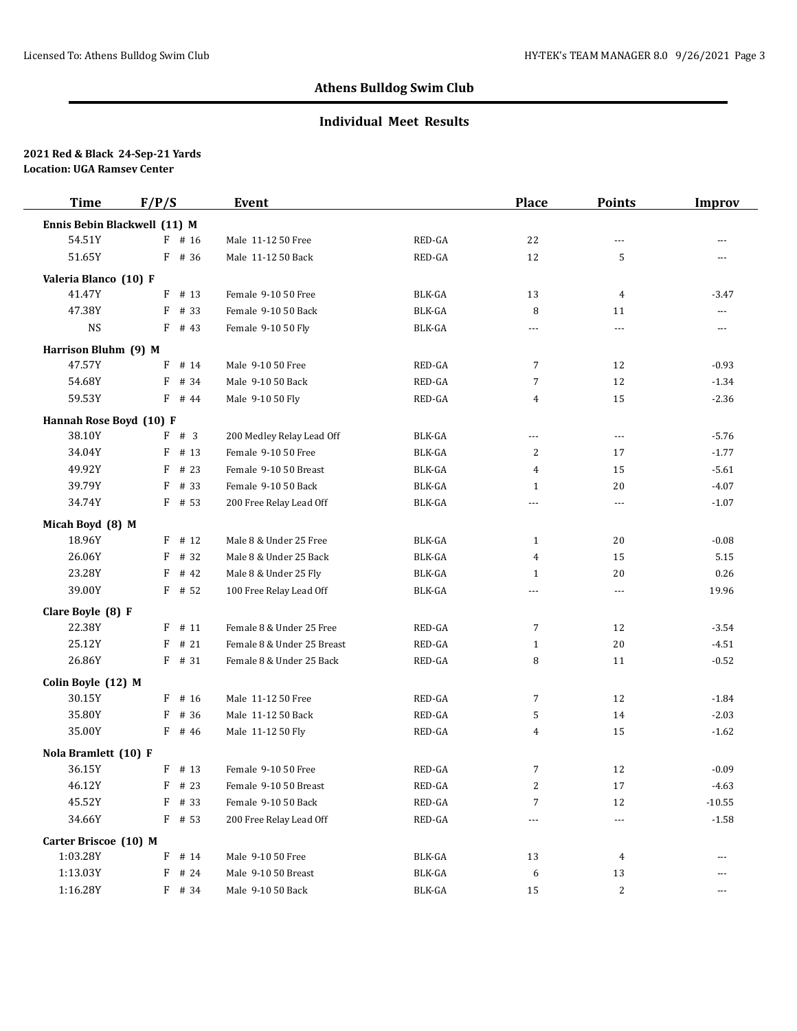## **Individual Meet Results**

| <b>Time</b>                  | F/P/S |          | <b>Event</b>               |               | <b>Place</b>   | <b>Points</b>  | <b>Improv</b>  |
|------------------------------|-------|----------|----------------------------|---------------|----------------|----------------|----------------|
| Ennis Bebin Blackwell (11) M |       |          |                            |               |                |                |                |
| 54.51Y                       |       | $F$ # 16 | Male 11-12 50 Free         | RED-GA        | 22             | $---$          | ---            |
| 51.65Y                       |       | F # 36   | Male 11-12 50 Back         | RED-GA        | 12             | 5              | $\overline{a}$ |
| Valeria Blanco (10) F        |       |          |                            |               |                |                |                |
| 41.47Y                       | F     | # 13     | Female 9-10 50 Free        | <b>BLK-GA</b> | 13             | 4              | $-3.47$        |
| 47.38Y                       | F     | # 33     | Female 9-10 50 Back        | BLK-GA        | 8              | 11             | ---            |
| <b>NS</b>                    |       | $F$ # 43 | Female 9-10 50 Fly         | BLK-GA        | $\cdots$       | $\cdots$       | ---            |
| Harrison Bluhm (9) M         |       |          |                            |               |                |                |                |
| 47.57Y                       | F     | # 14     | Male 9-10 50 Free          | RED-GA        | 7              | 12             | $-0.93$        |
| 54.68Y                       | F     | # 34     | Male 9-10 50 Back          | RED-GA        | 7              | 12             | $-1.34$        |
| 59.53Y                       |       | $F$ # 44 | Male 9-10 50 Fly           | RED-GA        | 4              | 15             | $-2.36$        |
| Hannah Rose Boyd (10) F      |       |          |                            |               |                |                |                |
| 38.10Y                       |       | F # 3    | 200 Medley Relay Lead Off  | BLK-GA        | ---            | $---$          | $-5.76$        |
| 34.04Y                       | F     | # 13     | Female 9-10 50 Free        | BLK-GA        | 2              | 17             | $-1.77$        |
| 49.92Y                       | F     | # 23     | Female 9-10 50 Breast      | <b>BLK-GA</b> | 4              | 15             | $-5.61$        |
| 39.79Y                       | F     | # 33     | Female 9-10 50 Back        | BLK-GA        | $\mathbf{1}$   | 20             | $-4.07$        |
| 34.74Y                       |       | $F$ # 53 | 200 Free Relay Lead Off    | <b>BLK-GA</b> | $\overline{a}$ | $\overline{a}$ | $-1.07$        |
| Micah Boyd (8) M             |       |          |                            |               |                |                |                |
| 18.96Y                       | F     | # 12     | Male 8 & Under 25 Free     | <b>BLK-GA</b> | $\mathbf{1}$   | 20             | $-0.08$        |
| 26.06Y                       | F     | # 32     | Male 8 & Under 25 Back     | BLK-GA        | 4              | 15             | 5.15           |
| 23.28Y                       | F     | # 42     | Male 8 & Under 25 Fly      | <b>BLK-GA</b> | 1              | 20             | 0.26           |
| 39.00Y                       |       | $F$ # 52 | 100 Free Relay Lead Off    | BLK-GA        | $\overline{a}$ | $\overline{a}$ | 19.96          |
| Clare Boyle (8) F            |       |          |                            |               |                |                |                |
| 22.38Y                       | F     | # 11     | Female 8 & Under 25 Free   | RED-GA        | 7              | 12             | $-3.54$        |
| 25.12Y                       | F     | # 21     | Female 8 & Under 25 Breast | RED-GA        | 1              | 20             | $-4.51$        |
| 26.86Y                       |       | $F$ # 31 | Female 8 & Under 25 Back   | RED-GA        | 8              | 11             | $-0.52$        |
| Colin Boyle (12) M           |       |          |                            |               |                |                |                |
| 30.15Y                       |       | $F$ # 16 | Male 11-12 50 Free         | RED-GA        | 7              | 12             | $-1.84$        |
| 35.80Y                       | F     | # 36     | Male 11-12 50 Back         | RED-GA        | 5              | 14             | $-2.03$        |
| 35.00Y                       |       | $F$ # 46 | Male 11-12 50 Fly          | RED-GA        | 4              | 15             | $-1.62$        |
| Nola Bramlett (10) F         |       |          |                            |               |                |                |                |
| 36.15Y                       |       | $F$ # 13 | Female 9-10 50 Free        | RED-GA        | 7              | 12             | $-0.09$        |
| 46.12Y                       |       | $F$ # 23 | Female 9-10 50 Breast      | RED-GA        | 2              | 17             | $-4.63$        |
| 45.52Y                       | F     | # 33     | Female 9-10 50 Back        | RED-GA        | 7              | 12             | $-10.55$       |
| 34.66Y                       |       | $F$ # 53 | 200 Free Relay Lead Off    | RED-GA        | $\cdots$       | $---$          | $-1.58$        |
| Carter Briscoe (10) M        |       |          |                            |               |                |                |                |
| 1:03.28Y                     |       | F # 14   | Male 9-10 50 Free          | BLK-GA        | 13             | 4              | ---            |
| 1:13.03Y                     |       | F # 24   | Male 9-10 50 Breast        | BLK-GA        | 6              | 13             | ---            |
| 1:16.28Y                     |       | $F$ # 34 | Male 9-10 50 Back          | BLK-GA        | 15             | 2              | ---            |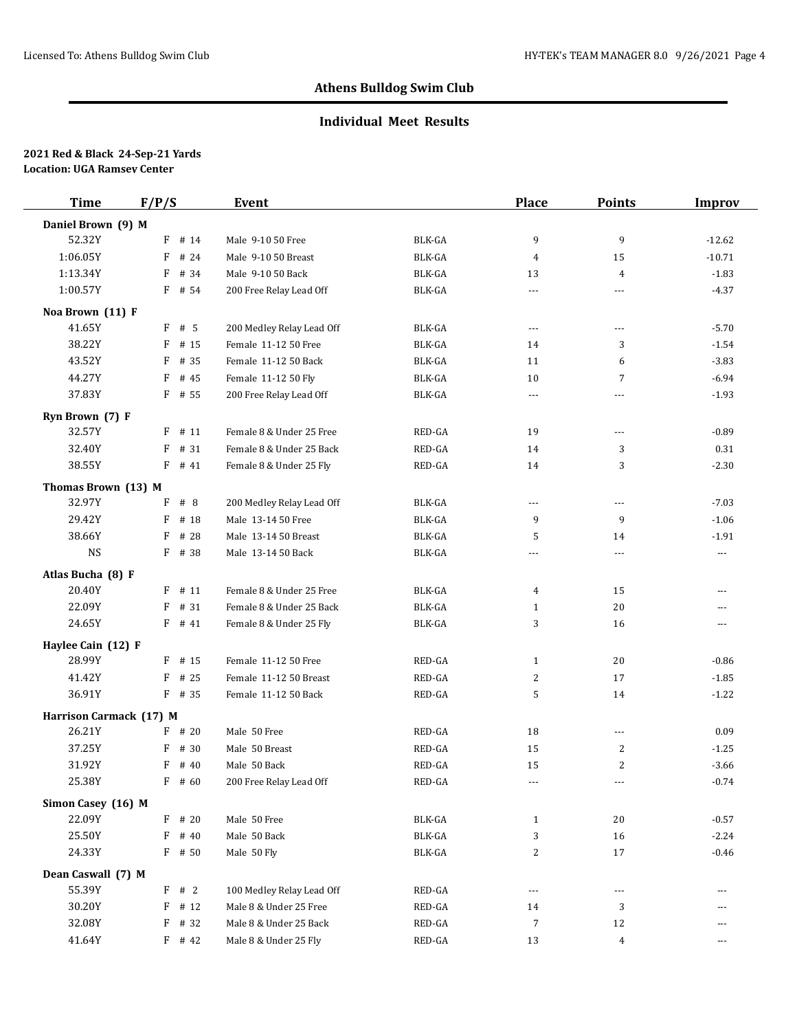## **Individual Meet Results**

| <b>Time</b>             | F/P/S        | <b>Event</b>              |                                   | <b>Place</b> | <b>Points</b>  | <b>Improv</b> |
|-------------------------|--------------|---------------------------|-----------------------------------|--------------|----------------|---------------|
| Daniel Brown (9) M      |              |                           |                                   |              |                |               |
| 52.32Y                  | $F$ # 14     | Male 9-10 50 Free         | BLK-GA                            | 9            | 9              | $-12.62$      |
| 1:06.05Y                | # 24<br>F    | Male 9-10 50 Breast       | <b>BLK-GA</b>                     | 4            | 15             | $-10.71$      |
| 1:13.34Y                | F<br># 34    | Male 9-10 50 Back         | <b>BLK-GA</b>                     | 13           | 4              | $-1.83$       |
| 1:00.57Y                | $F$ # 54     | 200 Free Relay Lead Off   | <b>BLK-GA</b>                     | ---          | $- - -$        | $-4.37$       |
| Noa Brown (11) F        |              |                           |                                   |              |                |               |
| 41.65Y                  | $F$ # 5      | 200 Medley Relay Lead Off | <b>BLK-GA</b>                     | $\cdots$     | $\cdots$       | $-5.70$       |
| 38.22Y                  | # 15<br>F    | Female 11-12 50 Free      | <b>BLK-GA</b>                     | 14           | 3              | $-1.54$       |
| 43.52Y                  | # 35<br>F    | Female 11-12 50 Back      | BLK-GA                            | 11           | 6              | $-3.83$       |
| 44.27Y                  | F<br># 45    | Female 11-12 50 Fly       | <b>BLK-GA</b>                     | 10           | 7              | $-6.94$       |
| 37.83Y                  | $F$ # 55     | 200 Free Relay Lead Off   | BLK-GA                            | $\cdots$     | $---$          | $-1.93$       |
| Ryn Brown (7) F         |              |                           |                                   |              |                |               |
| 32.57Y                  | $F$ # 11     | Female 8 & Under 25 Free  | RED-GA                            | 19           | $---$          | $-0.89$       |
| 32.40Y                  | # 31<br>F    | Female 8 & Under 25 Back  | RED-GA                            | 14           | 3              | 0.31          |
| 38.55Y                  | F<br># 41    | Female 8 & Under 25 Fly   | RED-GA                            | 14           | 3              | $-2.30$       |
| Thomas Brown (13) M     |              |                           |                                   |              |                |               |
| 32.97Y                  | #8<br>F      | 200 Medley Relay Lead Off | <b>BLK-GA</b>                     | $---$        | $---$          | $-7.03$       |
| 29.42Y                  | F<br># 18    | Male 13-14 50 Free        | BLK-GA                            | 9            | 9              | $-1.06$       |
| 38.66Y                  | # 28<br>F    | Male 13-14 50 Breast      | <b>BLK-GA</b>                     | 5            | 14             | $-1.91$       |
| <b>NS</b>               | $F$ # 38     | Male 13-14 50 Back        | BLK-GA                            | ---          | $---$          | ---           |
| Atlas Bucha (8) F       |              |                           |                                   |              |                |               |
| 20.40Y                  | # 11<br>F    | Female 8 & Under 25 Free  | <b>BLK-GA</b>                     | 4            | 15             | ---           |
| 22.09Y                  | # 31<br>F    | Female 8 & Under 25 Back  | BLK-GA                            | $\mathbf{1}$ | 20             | ---           |
| 24.65Y                  | $F$ # 41     | Female 8 & Under 25 Fly   | <b>BLK-GA</b>                     | 3            | 16             | ---           |
| Haylee Cain (12) F      |              |                           |                                   |              |                |               |
| 28.99Y                  | $F$ # 15     | Female 11-12 50 Free      | RED-GA                            | $\mathbf{1}$ | 20             | $-0.86$       |
| 41.42Y                  | # 25<br>F    | Female 11-12 50 Breast    | RED-GA                            | 2            | 17             | $-1.85$       |
| 36.91Y                  | $F$ # 35     | Female 11-12 50 Back      | RED-GA                            | 5            | 14             | $-1.22$       |
| Harrison Carmack (17) M |              |                           |                                   |              |                |               |
| 26.21Y                  | $F$ # 20     | Male 50 Free              | RED-GA                            | 18           | $---$          | 0.09          |
| 37.25Y                  | # 30<br>F    | Male 50 Breast            | RED-GA                            | 15           | 2              | $-1.25$       |
| 31.92Y                  | F<br># 40    | Male 50 Back              | RED-GA                            | 15           | $\overline{c}$ | $-3.66$       |
| 25.38Y                  | $F$ # 60     | 200 Free Relay Lead Off   | $\mathsf{RED}\text{-}\mathsf{GA}$ | $\cdots$     | $---$          | $-0.74$       |
| Simon Casey (16) M      |              |                           |                                   |              |                |               |
| 22.09Y                  | $F$ # 20     | Male 50 Free              | BLK-GA                            | $\mathbf{1}$ | 20             | $-0.57$       |
| 25.50Y                  | F<br># 40    | Male 50 Back              | BLK-GA                            | 3            | 16             | $-2.24$       |
| 24.33Y                  | F # 50       | Male 50 Fly               | BLK-GA                            | 2            | 17             | $-0.46$       |
| Dean Caswall (7) M      |              |                           |                                   |              |                |               |
| 55.39Y                  | F # 2        | 100 Medley Relay Lead Off | RED-GA                            | ---          | $\cdots$       | ---           |
| 30.20Y                  | $\#$ 12<br>F | Male 8 & Under 25 Free    | RED-GA                            | 14           | 3              | ---           |
| 32.08Y                  | F<br># 32    | Male 8 & Under 25 Back    | RED-GA                            | 7            | 12             | ---           |
| 41.64Y                  | $F$ # 42     | Male 8 & Under 25 Fly     | RED-GA                            | 13           | 4              | ---           |
|                         |              |                           |                                   |              |                |               |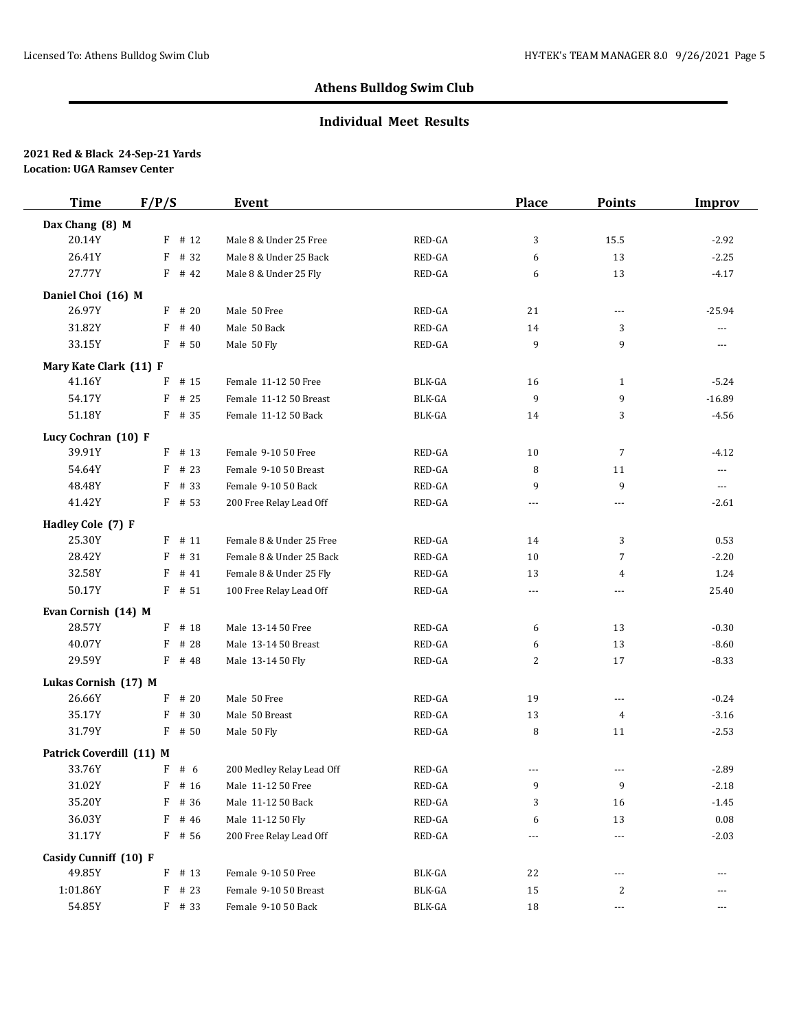## **Individual Meet Results**

| <b>Time</b>              | F/P/S                | <b>Event</b>              |               | <b>Place</b> | <b>Points</b>  | <b>Improv</b>  |
|--------------------------|----------------------|---------------------------|---------------|--------------|----------------|----------------|
| Dax Chang (8) M          |                      |                           |               |              |                |                |
| 20.14Y                   | $F$ # 12             | Male 8 & Under 25 Free    | RED-GA        | 3            | 15.5           | $-2.92$        |
| 26.41Y                   | $\mathbf{F}$<br># 32 | Male 8 & Under 25 Back    | RED-GA        | 6            | 13             | $-2.25$        |
| 27.77Y                   | $F$ # 42             | Male 8 & Under 25 Fly     | RED-GA        | 6            | 13             | $-4.17$        |
| Daniel Choi (16) M       |                      |                           |               |              |                |                |
| 26.97Y                   | $F$ # 20             | Male 50 Free              | RED-GA        | 21           | $---$          | $-25.94$       |
| 31.82Y                   | F<br># 40            | Male 50 Back              | RED-GA        | 14           | 3              | $\overline{a}$ |
| 33.15Y                   | F<br># 50            | Male 50 Fly               | RED-GA        | 9            | 9              | ---            |
| Mary Kate Clark (11) F   |                      |                           |               |              |                |                |
| 41.16Y                   | # 15<br>F            | Female 11-12 50 Free      | BLK-GA        | 16           | $\mathbf{1}$   | $-5.24$        |
| 54.17Y                   | F<br># 25            | Female 11-12 50 Breast    | BLK-GA        | 9            | 9              | $-16.89$       |
| 51.18Y                   | F # 35               | Female 11-12 50 Back      | <b>BLK-GA</b> | 14           | 3              | $-4.56$        |
| Lucy Cochran (10) F      |                      |                           |               |              |                |                |
| 39.91Y                   | F<br># 13            | Female 9-10 50 Free       | RED-GA        | 10           | $\overline{7}$ | $-4.12$        |
| 54.64Y                   | F<br># 23            | Female 9-10 50 Breast     | RED-GA        | 8            | 11             | ---            |
| 48.48Y                   | # 33<br>F            | Female 9-10 50 Back       | RED-GA        | 9            | 9              | $\cdots$       |
| 41.42Y                   | $F$ # 53             | 200 Free Relay Lead Off   | RED-GA        | $---$        | $---$          | $-2.61$        |
| Hadley Cole (7) F        |                      |                           |               |              |                |                |
| 25.30Y                   | F<br># 11            | Female 8 & Under 25 Free  | RED-GA        | 14           | 3              | 0.53           |
| 28.42Y                   | # 31<br>F            | Female 8 & Under 25 Back  | RED-GA        | 10           | $\overline{7}$ | $-2.20$        |
| 32.58Y                   | F<br># 41            | Female 8 & Under 25 Fly   | RED-GA        | 13           | 4              | 1.24           |
| 50.17Y                   | $F$ # 51             | 100 Free Relay Lead Off   | RED-GA        | $\cdots$     | $---$          | 25.40          |
| Evan Cornish (14) M      |                      |                           |               |              |                |                |
| 28.57Y                   | $F$ # 18             | Male 13-14 50 Free        | RED-GA        | 6            | 13             | $-0.30$        |
| 40.07Y                   | F<br># 28            | Male 13-14 50 Breast      | RED-GA        | 6            | 13             | $-8.60$        |
| 29.59Y                   | F # 48               | Male 13-14 50 Fly         | RED-GA        | 2            | 17             | $-8.33$        |
| Lukas Cornish (17) M     |                      |                           |               |              |                |                |
| 26.66Y                   | F<br># 20            | Male 50 Free              | RED-GA        | 19           | $---$          | $-0.24$        |
| 35.17Y                   | F<br># 30            | Male 50 Breast            | RED-GA        | 13           | 4              | $-3.16$        |
| 31.79Y                   | $F$ # 50             | Male 50 Fly               | RED-GA        | 8            | 11             | $-2.53$        |
| Patrick Coverdill (11) M |                      |                           |               |              |                |                |
| 33.76Y                   | $F$ # 6              | 200 Medley Relay Lead Off | RED-GA        | $- - -$      | $---$          | $-2.89$        |
| 31.02Y                   | # 16<br>F            | Male 11-12 50 Free        | RED-GA        | 9            | 9              | $-2.18$        |
| 35.20Y                   | # 36<br>F            | Male 11-12 50 Back        | RED-GA        | 3            | 16             | $-1.45$        |
| 36.03Y                   | F<br># 46            | Male 11-12 50 Fly         | RED-GA        | 6            | 13             | 0.08           |
| 31.17Y                   | F # 56               | 200 Free Relay Lead Off   | RED-GA        | ---          | $---$          | $-2.03$        |
| Casidy Cunniff (10) F    |                      |                           |               |              |                |                |
| 49.85Y                   | $F$ # 13             | Female 9-10 50 Free       | BLK-GA        | 22           | ---            |                |
| 1:01.86Y                 | F<br># 23            | Female 9-10 50 Breast     | BLK-GA        | 15           | 2              | ---            |
| 54.85Y                   | $F$ # 33             | Female 9-10 50 Back       | BLK-GA        | 18           | ---            | ---            |
|                          |                      |                           |               |              |                |                |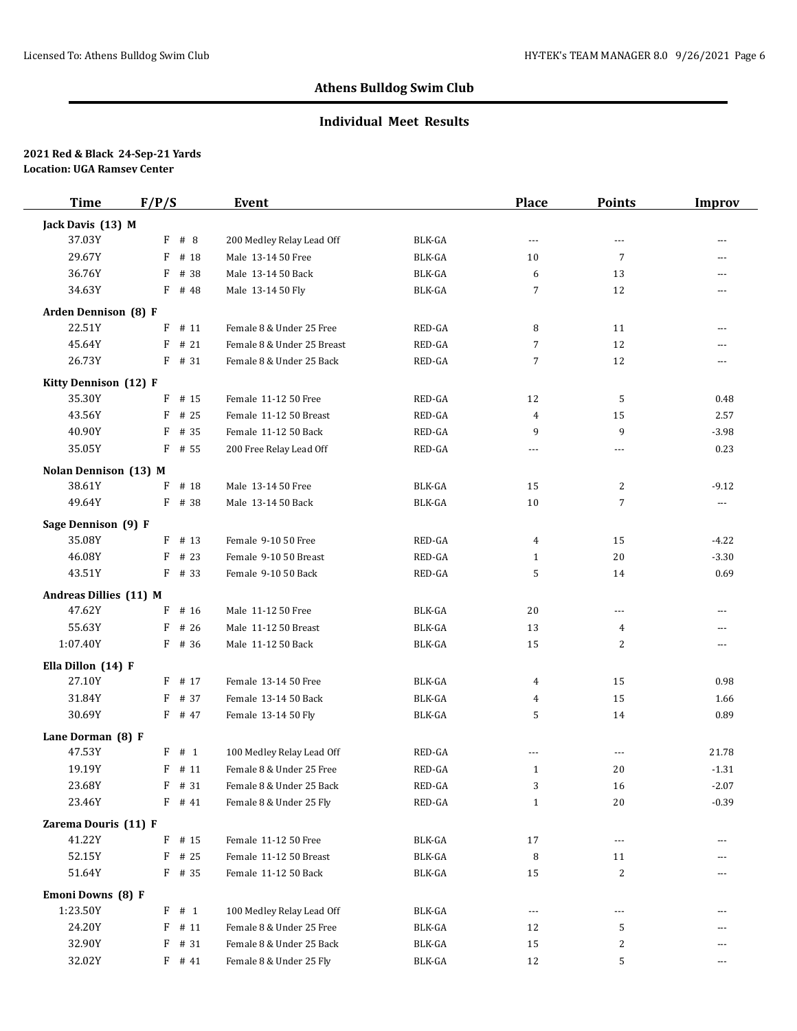## **Individual Meet Results**

| <b>Time</b>            | F/P/S     | Event                      |               | Place          | <b>Points</b>            | <b>Improv</b>        |
|------------------------|-----------|----------------------------|---------------|----------------|--------------------------|----------------------|
| Jack Davis (13) M      |           |                            |               |                |                          |                      |
| 37.03Y                 | $F$ # 8   | 200 Medley Relay Lead Off  | BLK-GA        | $---$          | $\overline{a}$           | $\overline{a}$       |
| 29.67Y                 | F<br># 18 | Male 13-14 50 Free         | BLK-GA        | 10             | $\overline{7}$           | ---                  |
| 36.76Y                 | # 38<br>F | Male 13-14 50 Back         | <b>BLK-GA</b> | 6              | 13                       | $-$                  |
| 34.63Y                 | $F$ # 48  | Male 13-14 50 Fly          | BLK-GA        | 7              | 12                       | ---                  |
| Arden Dennison (8) F   |           |                            |               |                |                          |                      |
| 22.51Y                 | # 11<br>F | Female 8 & Under 25 Free   | RED-GA        | 8              | 11                       | $\overline{a}$       |
| 45.64Y                 | # 21<br>F | Female 8 & Under 25 Breast | RED-GA        | $\overline{7}$ | 12                       | $\overline{a}$       |
| 26.73Y                 | $F$ # 31  | Female 8 & Under 25 Back   | RED-GA        | $\overline{7}$ | 12                       | $\overline{a}$       |
| Kitty Dennison (12) F  |           |                            |               |                |                          |                      |
| 35.30Y                 | # 15<br>F | Female 11-12 50 Free       | RED-GA        | 12             | 5                        | 0.48                 |
| 43.56Y                 | # 25<br>F | Female 11-12 50 Breast     | RED-GA        | 4              | 15                       | 2.57                 |
| 40.90Y                 | $F$ # 35  | Female 11-12 50 Back       | RED-GA        | 9              | 9                        | $-3.98$              |
| 35.05Y                 | $F$ # 55  | 200 Free Relay Lead Off    | RED-GA        | $\cdots$       | $\overline{\phantom{a}}$ | 0.23                 |
| Nolan Dennison (13) M  |           |                            |               |                |                          |                      |
| 38.61Y                 | # 18<br>F | Male 13-14 50 Free         | BLK-GA        | 15             | 2                        | $-9.12$              |
| 49.64Y                 | F # 38    | Male 13-14 50 Back         | BLK-GA        | 10             | $\overline{7}$           | $\scriptstyle\cdots$ |
| Sage Dennison (9) F    |           |                            |               |                |                          |                      |
| 35.08Y                 | $F$ # 13  | Female 9-10 50 Free        | RED-GA        | 4              | 15                       | $-4.22$              |
| 46.08Y                 | $F$ # 23  | Female 9-10 50 Breast      | RED-GA        | $\mathbf{1}$   | 20                       | $-3.30$              |
| 43.51Y                 | F # 33    | Female 9-10 50 Back        | RED-GA        | 5              | 14                       | 0.69                 |
| Andreas Dillies (11) M |           |                            |               |                |                          |                      |
| 47.62Y                 | F<br># 16 | Male 11-12 50 Free         | BLK-GA        | 20             | $\overline{\phantom{a}}$ | $-$                  |
| 55.63Y                 | F<br># 26 | Male 11-12 50 Breast       | BLK-GA        | 13             | 4                        | $---$                |
| 1:07.40Y               | $F$ # 36  | Male 11-12 50 Back         | BLK-GA        | 15             | 2                        | $---$                |
| Ella Dillon (14) F     |           |                            |               |                |                          |                      |
| 27.10Y                 | F # 17    | Female 13-14 50 Free       | BLK-GA        | 4              | 15                       | 0.98                 |
| 31.84Y                 | F<br># 37 | Female 13-14 50 Back       | BLK-GA        | 4              | 15                       | 1.66                 |
| 30.69Y                 | F # 47    | Female 13-14 50 Fly        | BLK-GA        | 5              | 14                       | 0.89                 |
| Lane Dorman (8) F      |           |                            |               |                |                          |                      |
| 47.53Y                 | F # 1     | 100 Medley Relay Lead Off  | RED-GA        | $\overline{a}$ | $---$                    | 21.78                |
| 19.19Y                 | $F$ # 11  | Female 8 & Under 25 Free   | RED-GA        | $\mathbf{1}$   | 20                       | $-1.31$              |
| 23.68Y                 | $F$ # 31  | Female 8 & Under 25 Back   | RED-GA        | 3              | 16                       | $-2.07$              |
| 23.46Y                 | $F$ # 41  | Female 8 & Under 25 Fly    | RED-GA        | $\mathbf{1}$   | 20                       | $-0.39$              |
| Zarema Douris (11) F   |           |                            |               |                |                          |                      |
| 41.22Y                 | $F$ # 15  | Female 11-12 50 Free       | BLK-GA        | 17             | $\overline{\phantom{a}}$ | $---$                |
| 52.15Y                 | $F$ # 25  | Female 11-12 50 Breast     | BLK-GA        | 8              | 11                       |                      |
| 51.64Y                 | $F$ # 35  | Female 11-12 50 Back       | BLK-GA        | 15             | 2                        | ---                  |
| Emoni Downs (8) F      |           |                            |               |                |                          |                      |
| 1:23.50Y               | F # 1     | 100 Medley Relay Lead Off  | BLK-GA        | $\cdots$       | $\overline{a}$           | $---$                |
| 24.20Y                 | $F$ # 11  | Female 8 & Under 25 Free   | BLK-GA        | 12             | 5                        |                      |
| 32.90Y                 | F<br># 31 | Female 8 & Under 25 Back   | BLK-GA        | 15             | 2                        | ---                  |
| 32.02Y                 | $F$ # 41  | Female 8 & Under 25 Fly    | BLK-GA        | 12             | 5                        | ---                  |
|                        |           |                            |               |                |                          |                      |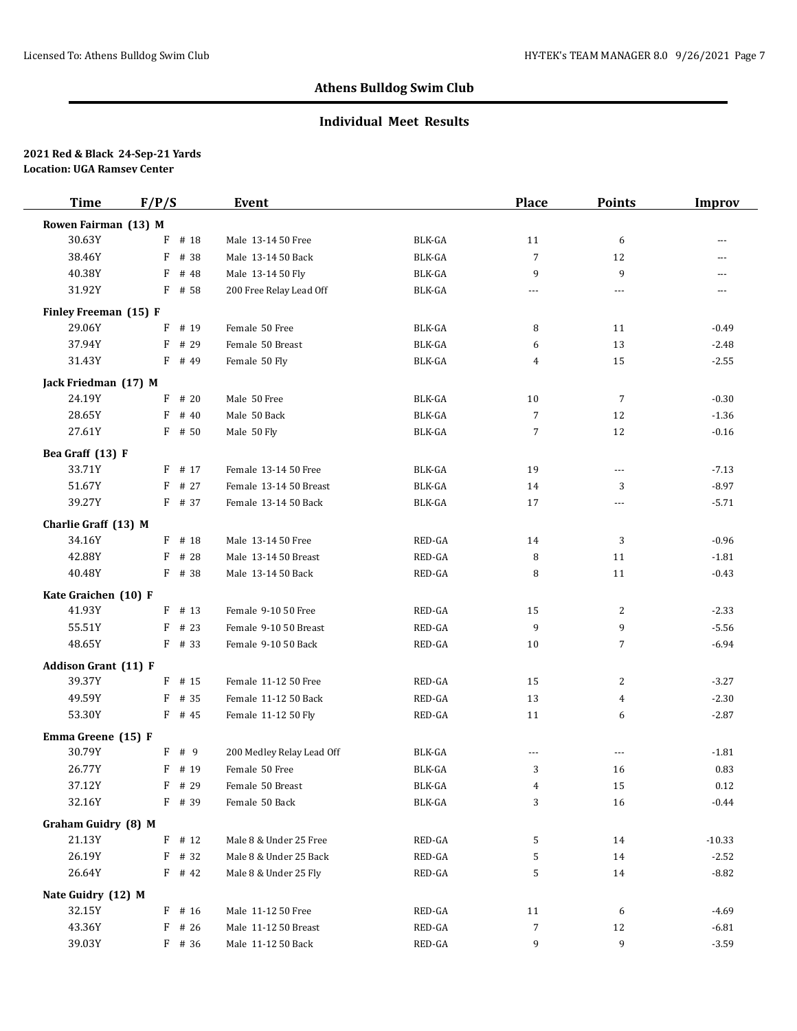## **Individual Meet Results**

| <b>Time</b>                 | F/P/S     | Event                     |                         | Place    | <b>Points</b>            | <b>Improv</b> |
|-----------------------------|-----------|---------------------------|-------------------------|----------|--------------------------|---------------|
| Rowen Fairman (13) M        |           |                           |                         |          |                          |               |
| 30.63Y                      | # 18<br>F | Male 13-14 50 Free        | BLK-GA                  | 11       | 6                        | ---           |
| 38.46Y                      | F<br># 38 | Male 13-14 50 Back        | BLK-GA                  | 7        | 12                       | ---           |
| 40.38Y                      | F<br># 48 | Male 13-14 50 Fly         | BLK-GA                  | 9        | 9                        | $-$           |
| 31.92Y                      | $F$ # 58  | 200 Free Relay Lead Off   | BLK-GA                  | $\cdots$ | ---                      | ---           |
| Finley Freeman (15) F       |           |                           |                         |          |                          |               |
| 29.06Y                      | # 19<br>F | Female 50 Free            | BLK-GA                  | 8        | 11                       | $-0.49$       |
| 37.94Y                      | # 29<br>F | Female 50 Breast          | BLK-GA                  | 6        | 13                       | $-2.48$       |
| 31.43Y                      | $F$ # 49  | Female 50 Fly             | BLK-GA                  | 4        | 15                       | $-2.55$       |
| Jack Friedman (17) M        |           |                           |                         |          |                          |               |
| 24.19Y                      | # 20<br>F | Male 50 Free              | BLK-GA                  | 10       | $\overline{7}$           | $-0.30$       |
| 28.65Y                      | F<br># 40 | Male 50 Back              | $\operatorname{BLK-GA}$ | 7        | 12                       | $-1.36$       |
| 27.61Y                      | $F$ # 50  | Male 50 Fly               | BLK-GA                  | 7        | 12                       | $-0.16$       |
| Bea Graff (13) F            |           |                           |                         |          |                          |               |
| 33.71Y                      | $F$ # 17  | Female 13-14 50 Free      | BLK-GA                  | 19       | $\overline{a}$           | $-7.13$       |
| 51.67Y                      | F<br># 27 | Female 13-14 50 Breast    | BLK-GA                  | 14       | 3                        | $-8.97$       |
| 39.27Y                      | $F$ # 37  | Female 13-14 50 Back      | BLK-GA                  | 17       | $\overline{\phantom{a}}$ | $-5.71$       |
| Charlie Graff (13) M        |           |                           |                         |          |                          |               |
| 34.16Y                      | $F$ # 18  | Male 13-14 50 Free        | RED-GA                  | 14       | 3                        | $-0.96$       |
| 42.88Y                      | $F$ # 28  | Male 13-14 50 Breast      | RED-GA                  | 8        | 11                       | $-1.81$       |
| 40.48Y                      | F # 38    | Male 13-14 50 Back        | RED-GA                  | 8        | 11                       | $-0.43$       |
| Kate Graichen (10) F        |           |                           |                         |          |                          |               |
| 41.93Y                      | $F$ # 13  | Female 9-10 50 Free       | RED-GA                  | 15       | 2                        | $-2.33$       |
| 55.51Y                      | $F$ # 23  | Female 9-10 50 Breast     | RED-GA                  | 9        | 9                        | $-5.56$       |
| 48.65Y                      | $F$ # 33  | Female 9-10 50 Back       | RED-GA                  | 10       | $\overline{7}$           | $-6.94$       |
| <b>Addison Grant (11) F</b> |           |                           |                         |          |                          |               |
| 39.37Y                      | $F$ # 15  | Female 11-12 50 Free      | RED-GA                  | 15       | 2                        | $-3.27$       |
| 49.59Y                      | $F$ # 35  | Female 11-12 50 Back      | RED-GA                  | 13       | 4                        | $-2.30$       |
| 53.30Y                      | $F$ # 45  | Female 11-12 50 Fly       | RED-GA                  | 11       | 6                        | $-2.87$       |
| Emma Greene (15) F          |           |                           |                         |          |                          |               |
| 30.79Y                      | F # 9     | 200 Medley Relay Lead Off | BLK-GA                  | $---$    | $---$                    | $-1.81$       |
| 26.77Y                      | F # 19    | Female 50 Free            | <b>BLK-GA</b>           | 3        | 16                       | 0.83          |
| 37.12Y                      | $F$ # 29  | Female 50 Breast          | BLK-GA                  | 4        | 15                       | 0.12          |
| 32.16Y                      | $F$ # 39  | Female 50 Back            | BLK-GA                  | 3        | 16                       | $-0.44$       |
| <b>Graham Guidry (8) M</b>  |           |                           |                         |          |                          |               |
| 21.13Y                      | $F$ # 12  | Male 8 & Under 25 Free    | RED-GA                  | 5        | 14                       | $-10.33$      |
| 26.19Y                      | $F$ # 32  | Male 8 & Under 25 Back    | RED-GA                  | 5        | 14                       | $-2.52$       |
| 26.64Y                      | $F$ # 42  | Male 8 & Under 25 Fly     | RED-GA                  | 5        | 14                       | $-8.82$       |
| Nate Guidry (12) M          |           |                           |                         |          |                          |               |
| 32.15Y                      | $F$ # 16  | Male 11-12 50 Free        | RED-GA                  | 11       | 6                        | -4.69         |
| 43.36Y                      | $F$ # 26  | Male 11-12 50 Breast      | RED-GA                  | 7        | 12                       | $-6.81$       |
| 39.03Y                      | $F$ # 36  | Male 11-12 50 Back        | RED-GA                  | 9        | 9                        | $-3.59$       |
|                             |           |                           |                         |          |                          |               |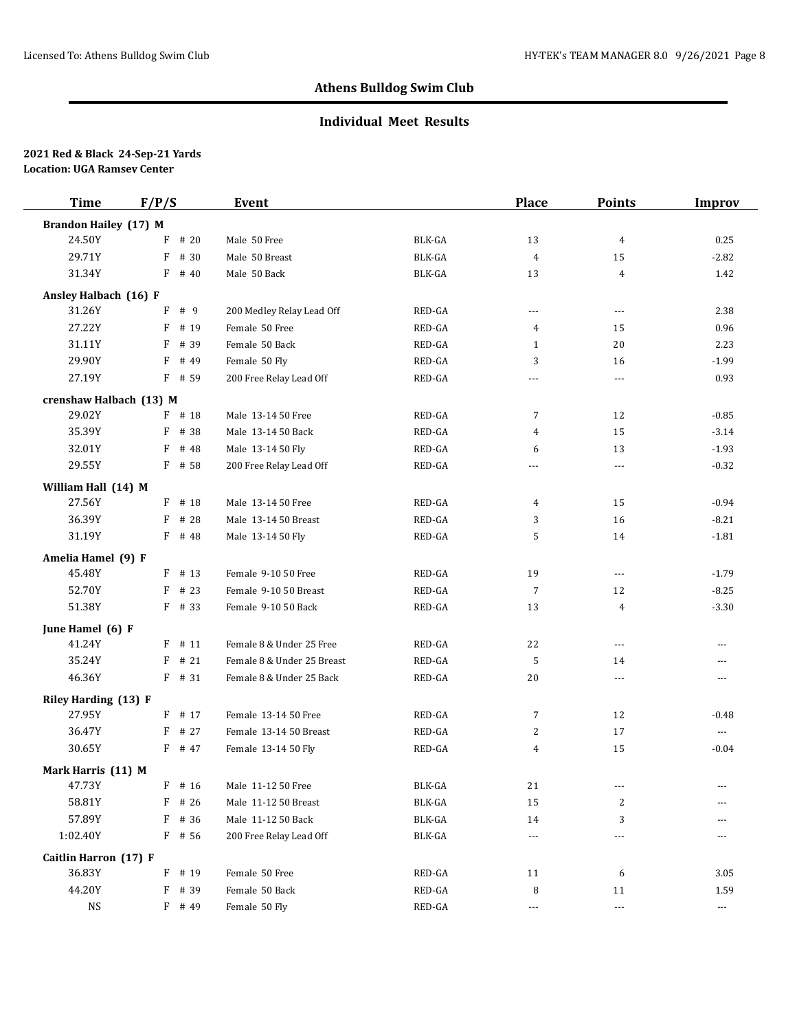## **Individual Meet Results**

| <b>Time</b>                  | F/P/S     | Event                      |               | <b>Place</b>         | <b>Points</b>        | <b>Improv</b>            |
|------------------------------|-----------|----------------------------|---------------|----------------------|----------------------|--------------------------|
| <b>Brandon Hailey (17) M</b> |           |                            |               |                      |                      |                          |
| 24.50Y                       | # 20<br>F | Male 50 Free               | <b>BLK-GA</b> | 13                   | 4                    | 0.25                     |
| 29.71Y                       | F<br># 30 | Male 50 Breast             | BLK-GA        | $\overline{4}$       | 15                   | $-2.82$                  |
| 31.34Y                       | $F$ # 40  | Male 50 Back               | <b>BLK-GA</b> | 13                   | $\overline{4}$       | 1.42                     |
| Ansley Halbach (16) F        |           |                            |               |                      |                      |                          |
| 31.26Y                       | F<br># 9  | 200 Medley Relay Lead Off  | RED-GA        | $\overline{a}$       | $\cdots$             | 2.38                     |
| 27.22Y                       | F<br># 19 | Female 50 Free             | RED-GA        | 4                    | 15                   | 0.96                     |
| 31.11Y                       | F<br># 39 | Female 50 Back             | RED-GA        | $\mathbf{1}$         | 20                   | 2.23                     |
| 29.90Y                       | F<br># 49 | Female 50 Fly              | RED-GA        | 3                    | 16                   | $-1.99$                  |
| 27.19Y                       | F # 59    | 200 Free Relay Lead Off    | RED-GA        | $\cdots$             | $\cdots$             | 0.93                     |
| crenshaw Halbach (13) M      |           |                            |               |                      |                      |                          |
| 29.02Y                       | F # 18    | Male 13-14 50 Free         | RED-GA        | 7                    | 12                   | $-0.85$                  |
| 35.39Y                       | F<br># 38 | Male 13-14 50 Back         | RED-GA        | 4                    | 15                   | $-3.14$                  |
| 32.01Y                       | F<br># 48 | Male 13-14 50 Fly          | RED-GA        | 6                    | 13                   | $-1.93$                  |
| 29.55Y                       | F # 58    | 200 Free Relay Lead Off    | RED-GA        | $---$                | $\overline{a}$       | $-0.32$                  |
| William Hall (14) M          |           |                            |               |                      |                      |                          |
| 27.56Y                       | F # 18    | Male 13-14 50 Free         | RED-GA        | 4                    | 15                   | $-0.94$                  |
| 36.39Y                       | F<br># 28 | Male 13-14 50 Breast       | RED-GA        | 3                    | 16                   | $-8.21$                  |
| 31.19Y                       | $F$ # 48  | Male 13-14 50 Fly          | RED-GA        | 5                    | 14                   | $-1.81$                  |
| Amelia Hamel (9) F           |           |                            |               |                      |                      |                          |
| 45.48Y                       | $F$ # 13  | Female 9-10 50 Free        | RED-GA        | 19                   | $\cdots$             | $-1.79$                  |
| 52.70Y                       | F<br># 23 | Female 9-10 50 Breast      | RED-GA        | 7                    | 12                   | $-8.25$                  |
| 51.38Y                       | $F$ # 33  | Female 9-10 50 Back        | RED-GA        | 13                   | 4                    | $-3.30$                  |
| June Hamel (6) F             |           |                            |               |                      |                      |                          |
| 41.24Y                       | $F$ # 11  | Female 8 & Under 25 Free   | RED-GA        | 22                   | $\cdots$             | ---                      |
| 35.24Y                       | # 21<br>F | Female 8 & Under 25 Breast | RED-GA        | 5                    | 14                   | $\overline{a}$           |
| 46.36Y                       | $F$ # 31  | Female 8 & Under 25 Back   | RED-GA        | 20                   | $\cdots$             | $---$                    |
| Riley Harding (13) F         |           |                            |               |                      |                      |                          |
| 27.95Y                       | $F$ # 17  | Female 13-14 50 Free       | RED-GA        | 7                    | 12                   | $-0.48$                  |
| 36.47Y                       | # 27<br>F | Female 13-14 50 Breast     | RED-GA        | 2                    | 17                   | $\cdots$                 |
| 30.65Y                       | F # 47    | Female 13-14 50 Fly        | RED-GA        | $\overline{4}$       | 15                   | $-0.04$                  |
| Mark Harris (11) M           |           |                            |               |                      |                      |                          |
| 47.73Y                       | F # 16    | Male 11-12 50 Free         | BLK-GA        | 21                   | $\cdots$             | ---                      |
| 58.81Y                       | F<br># 26 | Male 11-12 50 Breast       | BLK-GA        | 15                   | 2                    |                          |
| 57.89Y                       | F<br># 36 | Male 11-12 50 Back         | BLK-GA        | 14                   | 3                    |                          |
| 1:02.40Y                     | F # 56    | 200 Free Relay Lead Off    | BLK-GA        | $\cdots$             | ---                  | ---                      |
| Caitlin Harron (17) F        |           |                            |               |                      |                      |                          |
| 36.83Y                       | F # 19    | Female 50 Free             | RED-GA        | 11                   | 6                    | 3.05                     |
| 44.20Y                       | F<br># 39 | Female 50 Back             | RED-GA        | 8                    | 11                   | 1.59                     |
| $_{\rm NS}$                  | $F$ # 49  | Female 50 Fly              | RED-GA        | $\scriptstyle\cdots$ | $\scriptstyle\cdots$ | $\hspace{0.05cm} \ldots$ |
|                              |           |                            |               |                      |                      |                          |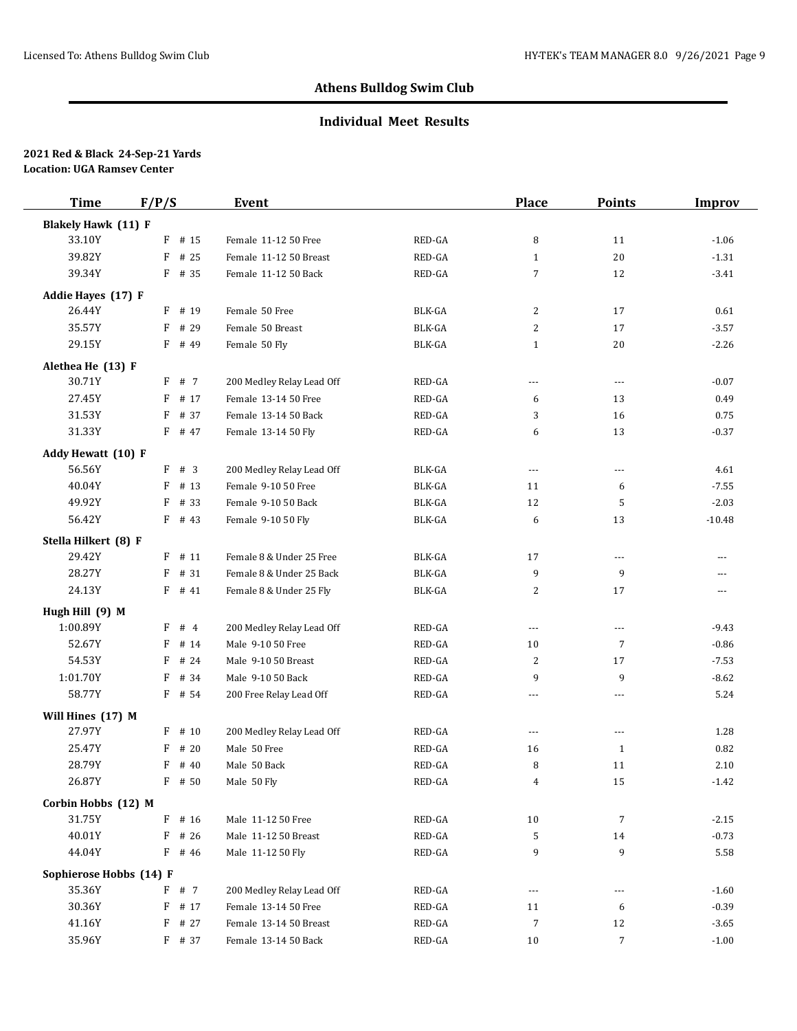## **Individual Meet Results**

| <b>Time</b>                | F/P/S     | Event                     |               | <b>Place</b>   | <b>Points</b>  | <b>Improv</b> |
|----------------------------|-----------|---------------------------|---------------|----------------|----------------|---------------|
| <b>Blakely Hawk (11) F</b> |           |                           |               |                |                |               |
| 33.10Y                     | F<br># 15 | Female 11-12 50 Free      | RED-GA        | 8              | 11             | $-1.06$       |
| 39.82Y                     | F<br># 25 | Female 11-12 50 Breast    | RED-GA        | $\mathbf{1}$   | 20             | $-1.31$       |
| 39.34Y                     | $F$ # 35  | Female 11-12 50 Back      | RED-GA        | 7              | 12             | $-3.41$       |
| Addie Hayes (17) F         |           |                           |               |                |                |               |
| 26.44Y                     | $F$ # 19  | Female 50 Free            | BLK-GA        | $\overline{c}$ | 17             | 0.61          |
| 35.57Y                     | F<br># 29 | Female 50 Breast          | <b>BLK-GA</b> | 2              | 17             | $-3.57$       |
| 29.15Y                     | F # 49    | Female 50 Fly             | <b>BLK-GA</b> | $\mathbf{1}$   | 20             | $-2.26$       |
| Alethea He (13) F          |           |                           |               |                |                |               |
| 30.71Y                     | F # 7     | 200 Medley Relay Lead Off | RED-GA        | $\overline{a}$ | $---$          | $-0.07$       |
| 27.45Y                     | F<br># 17 | Female 13-14 50 Free      | RED-GA        | 6              | 13             | 0.49          |
| 31.53Y                     | # 37<br>F | Female 13-14 50 Back      | RED-GA        | 3              | 16             | 0.75          |
| 31.33Y                     | $F$ # 47  | Female 13-14 50 Fly       | RED-GA        | 6              | 13             | $-0.37$       |
| Addy Hewatt (10) F         |           |                           |               |                |                |               |
| 56.56Y                     | F # 3     | 200 Medley Relay Lead Off | BLK-GA        | $\overline{a}$ | $\overline{a}$ | 4.61          |
| 40.04Y                     | F<br># 13 | Female 9-10 50 Free       | BLK-GA        | 11             | 6              | $-7.55$       |
| 49.92Y                     | F<br># 33 | Female 9-10 50 Back       | BLK-GA        | 12             | 5              | $-2.03$       |
| 56.42Y                     | $F$ # 43  | Female 9-10 50 Fly        | <b>BLK-GA</b> | 6              | 13             | $-10.48$      |
| Stella Hilkert (8) F       |           |                           |               |                |                |               |
| 29.42Y                     | # 11<br>F | Female 8 & Under 25 Free  | <b>BLK-GA</b> | 17             | $---$          | ---           |
| 28.27Y                     | # 31<br>F | Female 8 & Under 25 Back  | <b>BLK-GA</b> | 9              | 9              | ---           |
| 24.13Y                     | $F$ # 41  | Female 8 & Under 25 Fly   | <b>BLK-GA</b> | 2              | 17             | ---           |
| Hugh Hill (9) M            |           |                           |               |                |                |               |
| 1:00.89Y                   | $F$ # 4   | 200 Medley Relay Lead Off | RED-GA        | $\cdots$       | $---$          | $-9.43$       |
| 52.67Y                     | # 14<br>F | Male 9-10 50 Free         | RED-GA        | 10             | 7              | $-0.86$       |
| 54.53Y                     | # 24<br>F | Male 9-10 50 Breast       | RED-GA        | 2              | 17             | $-7.53$       |
| 1:01.70Y                   | # 34<br>F | Male 9-10 50 Back         | RED-GA        | 9              | 9              | $-8.62$       |
| 58.77Y                     | $F$ # 54  | 200 Free Relay Lead Off   | RED-GA        | $---$          | $---$          | 5.24          |
| Will Hines (17) M          |           |                           |               |                |                |               |
| 27.97Y                     | F<br># 10 | 200 Medley Relay Lead Off | RED-GA        | $\cdots$       | $\overline{a}$ | 1.28          |
| 25.47Y                     | # 20<br>F | Male 50 Free              | RED-GA        | 16             | $\mathbf{1}$   | 0.82          |
| 28.79Y                     | F<br># 40 | Male 50 Back              | RED-GA        | 8              | 11             | 2.10          |
| 26.87Y                     | $F$ # 50  | Male 50 Fly               | RED-GA        | 4              | 15             | $-1.42$       |
| Corbin Hobbs (12) M        |           |                           |               |                |                |               |
| 31.75Y                     | F<br># 16 | Male 11-12 50 Free        | RED-GA        | 10             | 7              | $-2.15$       |
| 40.01Y                     | F<br># 26 | Male 11-12 50 Breast      | RED-GA        | 5              | 14             | $-0.73$       |
| 44.04Y                     | F<br># 46 | Male 11-12 50 Fly         | RED-GA        | 9              | 9              | 5.58          |
| Sophierose Hobbs (14) F    |           |                           |               |                |                |               |
| 35.36Y                     | F # 7     | 200 Medley Relay Lead Off | RED-GA        | $---$          | $---$          | $-1.60$       |
| 30.36Y                     | F<br># 17 | Female 13-14 50 Free      | RED-GA        | 11             | 6              | $-0.39$       |
| 41.16Y                     | F<br># 27 | Female 13-14 50 Breast    | RED-GA        | 7              | 12             | $-3.65$       |
| 35.96Y                     | F # 37    | Female 13-14 50 Back      | RED-GA        | 10             | 7              | $-1.00$       |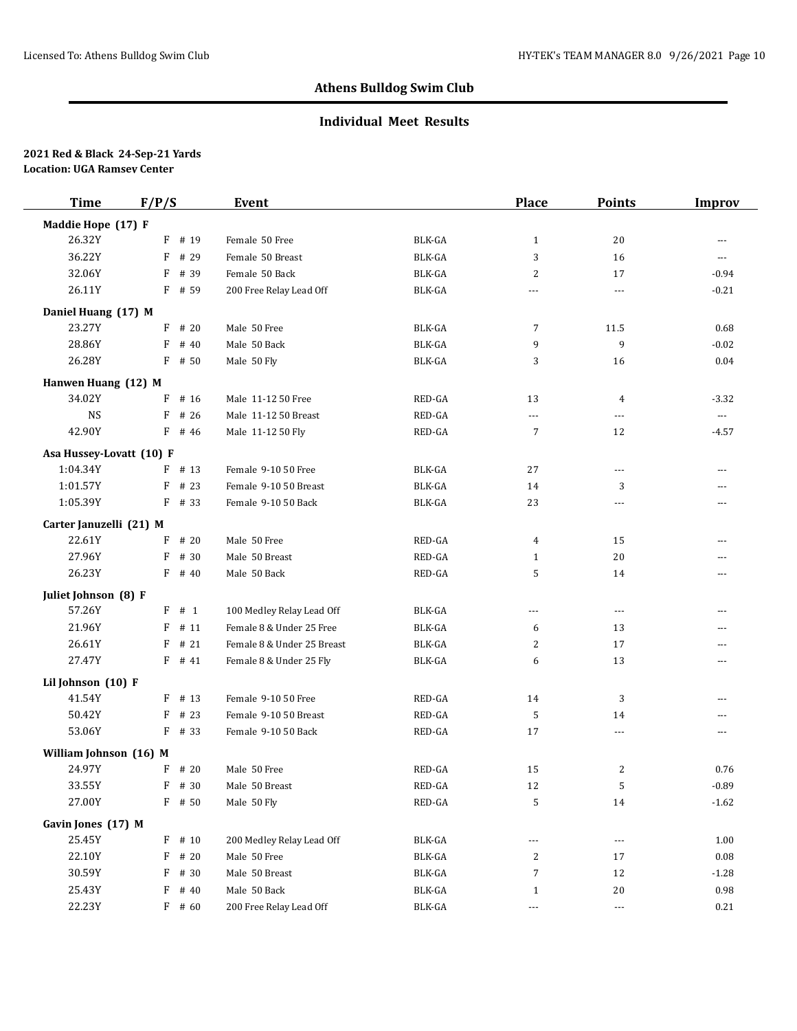## **Individual Meet Results**

| <b>Time</b>              | F/P/S    |          | Event                      |               | <b>Place</b>   | <b>Points</b>  | <b>Improv</b>  |
|--------------------------|----------|----------|----------------------------|---------------|----------------|----------------|----------------|
| Maddie Hope (17) F       |          |          |                            |               |                |                |                |
| 26.32Y                   |          | $F$ # 19 | Female 50 Free             | BLK-GA        | $\mathbf{1}$   | 20             | ---            |
| 36.22Y                   | F        | # 29     | Female 50 Breast           | <b>BLK-GA</b> | 3              | 16             | ---            |
| 32.06Y                   | F        | # 39     | Female 50 Back             | <b>BLK-GA</b> | 2              | 17             | $-0.94$        |
| 26.11Y                   |          | F # 59   | 200 Free Relay Lead Off    | BLK-GA        | ---            | $\overline{a}$ | $-0.21$        |
| Daniel Huang (17) M      |          |          |                            |               |                |                |                |
| 23.27Y                   | F        | # 20     | Male 50 Free               | <b>BLK-GA</b> | 7              | 11.5           | 0.68           |
| 28.86Y                   | F        | # 40     | Male 50 Back               | <b>BLK-GA</b> | 9              | 9              | $-0.02$        |
| 26.28Y                   | F        | # 50     | Male 50 Fly                | BLK-GA        | 3              | 16             | 0.04           |
| Hanwen Huang (12) M      |          |          |                            |               |                |                |                |
| 34.02Y                   | F        | # 16     | Male 11-12 50 Free         | RED-GA        | 13             | 4              | $-3.32$        |
| <b>NS</b>                | F        | # 26     | Male 11-12 50 Breast       | RED-GA        | $\overline{a}$ | $\overline{a}$ | $---$          |
| 42.90Y                   |          | F # 46   | Male 11-12 50 Fly          | RED-GA        | 7              | 12             | $-4.57$        |
| Asa Hussey-Lovatt (10) F |          |          |                            |               |                |                |                |
| 1:04.34Y                 | F        | # 13     | Female 9-10 50 Free        | <b>BLK-GA</b> | 27             | $\overline{a}$ | $\overline{a}$ |
| 1:01.57Y                 | F        | # 23     | Female 9-10 50 Breast      | <b>BLK-GA</b> | 14             | 3              | ---            |
| 1:05.39Y                 |          | $F$ # 33 | Female 9-10 50 Back        | <b>BLK-GA</b> | 23             | $\overline{a}$ | ---            |
| Carter Januzelli (21) M  |          |          |                            |               |                |                |                |
| 22.61Y                   | F        | # 20     | Male 50 Free               | RED-GA        | 4              | 15             | $\overline{a}$ |
| 27.96Y                   | F        | # 30     | Male 50 Breast             | RED-GA        | $\mathbf{1}$   | 20             | ---            |
| 26.23Y                   |          | $F$ # 40 | Male 50 Back               | RED-GA        | 5              | 14             | ---            |
| Juliet Johnson (8) F     |          |          |                            |               |                |                |                |
| 57.26Y                   | F        | # 1      | 100 Medley Relay Lead Off  | BLK-GA        | ---            | $---$          | ---            |
| 21.96Y                   | F        | # 11     | Female 8 & Under 25 Free   | <b>BLK-GA</b> | 6              | 13             | ---            |
| 26.61Y                   | F        | # 21     | Female 8 & Under 25 Breast | BLK-GA        | 2              | 17             | ---            |
| 27.47Y                   |          | $F$ # 41 | Female 8 & Under 25 Fly    | <b>BLK-GA</b> | 6              | 13             | $\overline{a}$ |
| Lil Johnson (10) F       |          |          |                            |               |                |                |                |
| 41.54Y                   |          | $F$ # 13 | Female 9-10 50 Free        | RED-GA        | 14             | 3              | ---            |
| 50.42Y                   | F        | # 23     | Female 9-10 50 Breast      | RED-GA        | 5              | 14             | ---            |
| 53.06Y                   | $F$ # 33 |          | Female 9-10 50 Back        | RED-GA        | 17             | $\overline{a}$ | ---            |
| William Johnson (16) M   |          |          |                            |               |                |                |                |
| 24.97Y                   |          | $F$ # 20 | Male 50 Free               | RED-GA        | 15             | 2              | 0.76           |
| 33.55Y                   |          | F # 30   | Male 50 Breast             | RED-GA        | 12             | 5              | $-0.89$        |
| 27.00Y                   |          | $F$ # 50 | Male 50 Fly                | RED-GA        | 5              | 14             | $-1.62$        |
| Gavin Jones (17) M       |          |          |                            |               |                |                |                |
| 25.45Y                   |          | $F$ # 10 | 200 Medley Relay Lead Off  | <b>BLK-GA</b> | $---$          | $---$          | 1.00           |
| 22.10Y                   | F        | # 20     | Male 50 Free               | BLK-GA        | 2              | 17             | 0.08           |
| 30.59Y                   | F        | # 30     | Male 50 Breast             | BLK-GA        | 7              | 12             | $-1.28$        |
| 25.43Y                   | F        | # 40     | Male 50 Back               | BLK-GA        | 1              | 20             | 0.98           |
| 22.23Y                   |          | $F$ # 60 | 200 Free Relay Lead Off    | <b>BLK-GA</b> | ---            | $---$          | 0.21           |
|                          |          |          |                            |               |                |                |                |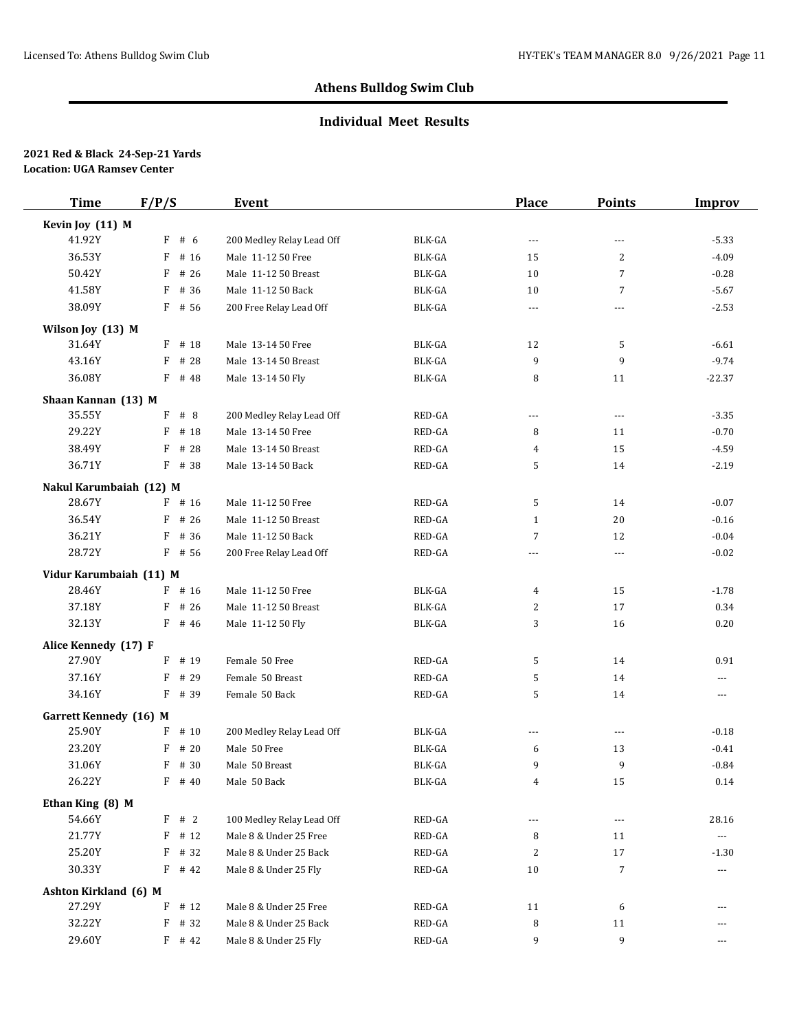### **Individual Meet Results**

| <b>Time</b>                             | F/P/S             | Event                                               |                  | <b>Place</b>   | <b>Points</b>  | <b>Improv</b>                 |
|-----------------------------------------|-------------------|-----------------------------------------------------|------------------|----------------|----------------|-------------------------------|
| Kevin Joy (11) M                        |                   |                                                     |                  |                |                |                               |
| 41.92Y                                  | F#6               | 200 Medley Relay Lead Off                           | <b>BLK-GA</b>    | $\overline{a}$ | $\overline{a}$ | $-5.33$                       |
| 36.53Y                                  | F<br># 16         | Male 11-12 50 Free                                  | BLK-GA           | 15             | 2              | $-4.09$                       |
| 50.42Y                                  | F<br># 26         | Male 11-12 50 Breast                                | BLK-GA           | 10             | $\overline{7}$ | $-0.28$                       |
| 41.58Y                                  | # 36<br>F         | Male 11-12 50 Back                                  | <b>BLK-GA</b>    | 10             | 7              | $-5.67$                       |
| 38.09Y                                  | $F$ # 56          | 200 Free Relay Lead Off                             | BLK-GA           | $---$          | $---$          | $-2.53$                       |
| Wilson Joy (13) M                       |                   |                                                     |                  |                |                |                               |
| 31.64Y                                  | $F$ # 18          | Male 13-14 50 Free                                  | <b>BLK-GA</b>    | 12             | 5              | $-6.61$                       |
| 43.16Y                                  | # 28<br>F         | Male 13-14 50 Breast                                | BLK-GA           | 9              | 9              | $-9.74$                       |
| 36.08Y                                  | $F$ # 48          | Male 13-14 50 Fly                                   | <b>BLK-GA</b>    | 8              | 11             | $-22.37$                      |
| Shaan Kannan (13) M                     |                   |                                                     |                  |                |                |                               |
| 35.55Y                                  | # 8<br>F          | 200 Medley Relay Lead Off                           | RED-GA           | $\cdots$       | $---$          | $-3.35$                       |
| 29.22Y                                  | F<br># 18         | Male 13-14 50 Free                                  | RED-GA           | 8              | 11             | $-0.70$                       |
| 38.49Y                                  | # 28<br>F         | Male 13-14 50 Breast                                | RED-GA           | 4              | 15             | $-4.59$                       |
| 36.71Y                                  | F # 38            | Male 13-14 50 Back                                  | RED-GA           | 5              | 14             | $-2.19$                       |
| Nakul Karumbaiah (12) M                 |                   |                                                     |                  |                |                |                               |
| 28.67Y                                  | $F$ # 16          | Male 11-12 50 Free                                  | RED-GA           | 5              | 14             | $-0.07$                       |
| 36.54Y                                  | F<br># 26         | Male 11-12 50 Breast                                | RED-GA           | 1              | 20             | $-0.16$                       |
| 36.21Y                                  | # 36<br>F         | Male 11-12 50 Back                                  | RED-GA           | 7              | 12             | $-0.04$                       |
| 28.72Y                                  | $F$ # 56          | 200 Free Relay Lead Off                             | RED-GA           | $\sim$ $\sim$  | $- - -$        | $-0.02$                       |
| Vidur Karumbaiah (11) M                 |                   |                                                     |                  |                |                |                               |
| 28.46Y                                  | $F$ # 16          | Male 11-12 50 Free                                  | BLK-GA           | 4              | 15             | $-1.78$                       |
| 37.18Y                                  | F<br># 26         | Male 11-12 50 Breast                                | <b>BLK-GA</b>    | 2              | 17             | 0.34                          |
| 32.13Y                                  | $F$ # 46          | Male 11-12 50 Fly                                   | BLK-GA           | 3              | 16             | 0.20                          |
| Alice Kennedy (17) F                    |                   |                                                     |                  |                |                |                               |
| 27.90Y                                  | $F$ # 19          | Female 50 Free                                      | RED-GA           | 5              | 14             | 0.91                          |
| 37.16Y                                  | # 29<br>F         | Female 50 Breast                                    | RED-GA           | 5              | 14             | ---                           |
| 34.16Y                                  | $F$ # 39          | Female 50 Back                                      | RED-GA           | 5              | 14             | ---                           |
|                                         |                   |                                                     |                  |                |                |                               |
| <b>Garrett Kennedy</b> (16) M<br>25.90Y | F<br># 10         | 200 Medley Relay Lead Off                           | <b>BLK-GA</b>    | $\cdots$       | $---$          | $-0.18$                       |
| 23.20Y                                  | F<br># 20         | Male 50 Free                                        | <b>BLK-GA</b>    |                | 13             | $-0.41$                       |
| 31.06Y                                  | # 30<br>F         | Male 50 Breast                                      | BLK-GA           | 6<br>9         | 9              | $-0.84$                       |
| 26.22Y                                  | $F$ # 40          | Male 50 Back                                        | BLK-GA           | 4              | 15             | 0.14                          |
|                                         |                   |                                                     |                  |                |                |                               |
| Ethan King (8) M                        |                   |                                                     |                  |                |                |                               |
| 54.66Y<br>21.77Y                        | F # 2<br>$F$ # 12 | 100 Medley Relay Lead Off<br>Male 8 & Under 25 Free | RED-GA<br>RED-GA | ---<br>8       | $---$          | 28.16<br>$\scriptstyle\cdots$ |
| 25.20Y                                  | F<br># 32         | Male 8 & Under 25 Back                              | RED-GA           | 2              | 11<br>17       | $-1.30$                       |
| 30.33Y                                  | $F$ # 42          | Male 8 & Under 25 Fly                               | RED-GA           | 10             | 7              | $\scriptstyle\cdots$          |
|                                         |                   |                                                     |                  |                |                |                               |
| Ashton Kirkland (6) M                   |                   |                                                     |                  |                |                |                               |
| 27.29Y                                  | F<br># 12         | Male 8 & Under 25 Free                              | RED-GA           | 11             | 6              | ---                           |
| 32.22Y                                  | # 32<br>F         | Male 8 & Under 25 Back                              | RED-GA           | 8              | 11             | ---                           |
| 29.60Y                                  | $F$ # 42          | Male 8 & Under 25 Fly                               | RED-GA           | 9              | 9              | ---                           |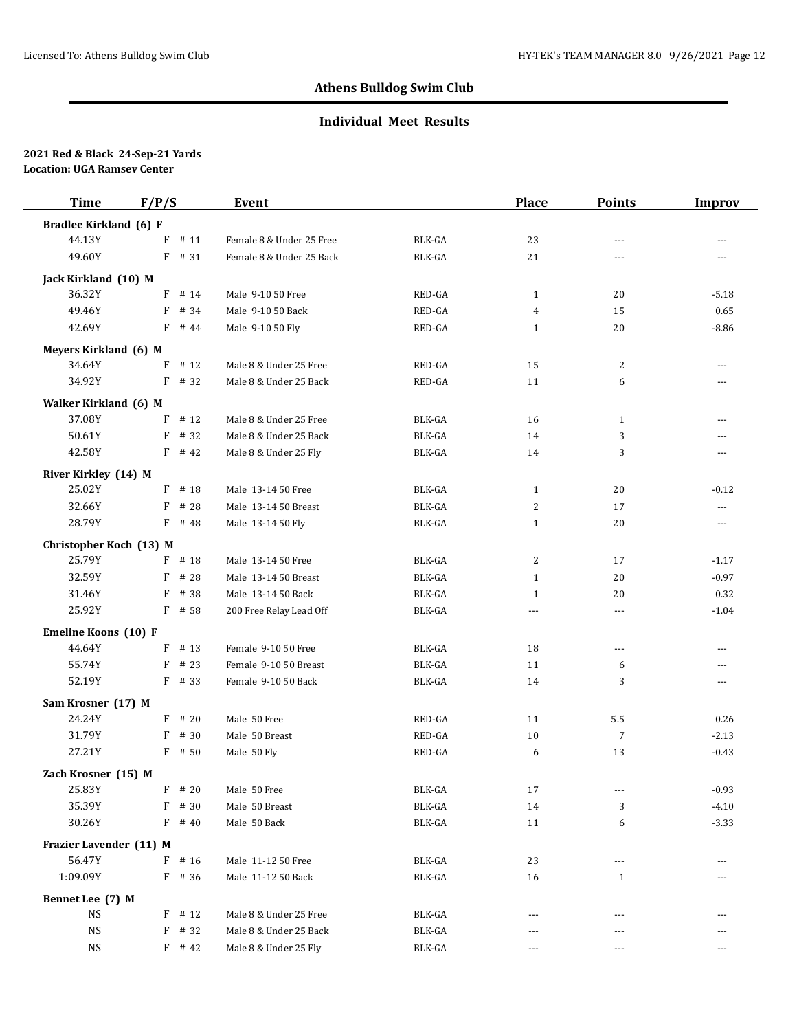## **Individual Meet Results**

| <b>Time</b>             | F/P/S     | Event                    |        | <b>Place</b> | <b>Points</b>  | <b>Improv</b>  |
|-------------------------|-----------|--------------------------|--------|--------------|----------------|----------------|
| Bradlee Kirkland (6) F  |           |                          |        |              |                |                |
| 44.13Y                  | F<br># 11 | Female 8 & Under 25 Free | BLK-GA | 23           | $- - -$        | $---$          |
| 49.60Y                  | F # 31    | Female 8 & Under 25 Back | BLK-GA | 21           | $-$            | $-$            |
| Jack Kirkland (10) M    |           |                          |        |              |                |                |
| 36.32Y                  | $F$ # 14  | Male 9-10 50 Free        | RED-GA | $\mathbf{1}$ | 20             | $-5.18$        |
| 49.46Y                  | F<br># 34 | Male 9-10 50 Back        | RED-GA | 4            | 15             | 0.65           |
| 42.69Y                  | F<br># 44 | Male 9-10 50 Fly         | RED-GA | $\mathbf{1}$ | 20             | $-8.86$        |
| Meyers Kirkland (6) M   |           |                          |        |              |                |                |
| 34.64Y                  | F<br># 12 | Male 8 & Under 25 Free   | RED-GA | 15           | 2              | $\overline{a}$ |
| 34.92Y                  | F # 32    | Male 8 & Under 25 Back   | RED-GA | 11           | 6              | $\overline{a}$ |
| Walker Kirkland (6) M   |           |                          |        |              |                |                |
| 37.08Y                  | # 12<br>F | Male 8 & Under 25 Free   | BLK-GA | 16           | $\mathbf{1}$   | $-$            |
| 50.61Y                  | F<br># 32 | Male 8 & Under 25 Back   | BLK-GA | 14           | 3              | $-$            |
| 42.58Y                  | $F$ # 42  | Male 8 & Under 25 Fly    | BLK-GA | 14           | 3              | $\overline{a}$ |
| River Kirkley (14) M    |           |                          |        |              |                |                |
| 25.02Y                  | $F$ # 18  | Male 13-14 50 Free       | BLK-GA | $\mathbf{1}$ | 20             | $-0.12$        |
| 32.66Y                  | F<br># 28 | Male 13-14 50 Breast     | BLK-GA | 2            | 17             | $---$          |
| 28.79Y                  | $F$ # 48  | Male 13-14 50 Fly        | BLK-GA | $\mathbf{1}$ | 20             | $---$          |
| Christopher Koch (13) M |           |                          |        |              |                |                |
| 25.79Y                  | $F$ # 18  | Male 13-14 50 Free       | BLK-GA | 2            | 17             | $-1.17$        |
| 32.59Y                  | # 28<br>F | Male 13-14 50 Breast     | BLK-GA | $\mathbf{1}$ | 20             | $-0.97$        |
| 31.46Y                  | F<br># 38 | Male 13-14 50 Back       | BLK-GA | $\mathbf{1}$ | 20             | 0.32           |
| 25.92Y                  | F # 58    | 200 Free Relay Lead Off  | BLK-GA | $\cdots$     | $\overline{a}$ | $-1.04$        |
| Emeline Koons (10) F    |           |                          |        |              |                |                |
| 44.64Y                  | $F$ # 13  | Female 9-10 50 Free      | BLK-GA | 18           | $\overline{a}$ | $\overline{a}$ |
| 55.74Y                  | F<br># 23 | Female 9-10 50 Breast    | BLK-GA | 11           | 6              | $---$          |
| 52.19Y                  | $F$ # 33  | Female 9-10 50 Back      | BLK-GA | 14           | 3              | $\cdots$       |
| Sam Krosner (17) M      |           |                          |        |              |                |                |
| 24.24Y                  | $F$ # 20  | Male 50 Free             | RED-GA | 11           | 5.5            | 0.26           |
| 31.79Y                  | # 30<br>F | Male 50 Breast           | RED-GA | 10           | $\overline{7}$ | $-2.13$        |
| 27.21Y                  | $F$ # 50  | Male 50 Fly              | RED-GA | 6            | 13             | $-0.43$        |
| Zach Krosner (15) M     |           |                          |        |              |                |                |
| 25.83Y                  | $F$ # 20  | Male 50 Free             | BLK-GA | 17           | $---$          | $-0.93$        |
| 35.39Y                  | $F$ # 30  | Male 50 Breast           | BLK-GA | 14           | 3              | $-4.10$        |
| 30.26Y                  | $F$ # 40  | Male 50 Back             | BLK-GA | 11           | 6              | $-3.33$        |
| Frazier Lavender (11) M |           |                          |        |              |                |                |
| 56.47Y                  | $F$ # 16  | Male 11-12 50 Free       | BLK-GA | 23           | ---            | $---$          |
| 1:09.09Y                | $F$ # 36  | Male 11-12 50 Back       | BLK-GA | 16           | $\mathbf{1}$   |                |
| Bennet Lee (7) M        |           |                          |        |              |                |                |
| NS                      | $F$ # 12  | Male 8 & Under 25 Free   | BLK-GA |              |                |                |
| <b>NS</b>               | $F$ # 32  | Male 8 & Under 25 Back   | BLK-GA | $---$        | $---$          |                |
| NS                      | $F$ # 42  | Male 8 & Under 25 Fly    | BLK-GA | $\cdots$     | ---            | ---            |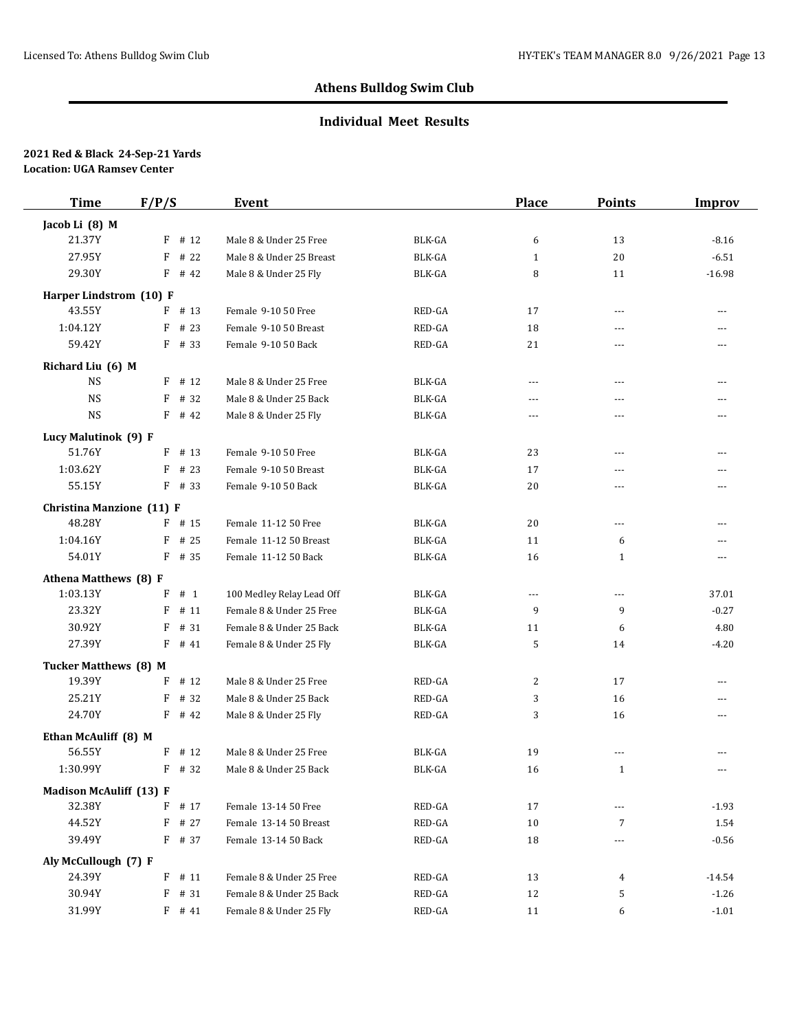### **Individual Meet Results**

| <b>Time</b>                    | F/P/S     | Event                     |               | <b>Place</b>         | <b>Points</b>            | <b>Improv</b>  |
|--------------------------------|-----------|---------------------------|---------------|----------------------|--------------------------|----------------|
| Jacob Li (8) M                 |           |                           |               |                      |                          |                |
| 21.37Y                         | $F$ # 12  | Male 8 & Under 25 Free    | BLK-GA        | 6                    | 13                       | $-8.16$        |
| 27.95Y                         | F<br># 22 | Male 8 & Under 25 Breast  | BLK-GA        | $\mathbf{1}$         | 20                       | $-6.51$        |
| 29.30Y                         | $F$ # 42  | Male 8 & Under 25 Fly     | <b>BLK-GA</b> | 8                    | 11                       | $-16.98$       |
| Harper Lindstrom (10) F        |           |                           |               |                      |                          |                |
| 43.55Y                         | $F$ # 13  | Female 9-10 50 Free       | RED-GA        | 17                   | $\overline{a}$           | $-$            |
| 1:04.12Y                       | F<br># 23 | Female 9-10 50 Breast     | RED-GA        | 18                   | $- - -$                  | $-$            |
| 59.42Y                         | F # 33    | Female 9-10 50 Back       | RED-GA        | 21                   |                          | $-$            |
| Richard Liu (6) M              |           |                           |               |                      |                          |                |
| <b>NS</b>                      | $F$ # 12  | Male 8 & Under 25 Free    | BLK-GA        | $- - -$              | $---$                    | $\overline{a}$ |
| <b>NS</b>                      | # 32<br>F | Male 8 & Under 25 Back    | BLK-GA        | $---$                | $\overline{a}$           | $\overline{a}$ |
| <b>NS</b>                      | $F$ # 42  | Male 8 & Under 25 Fly     | BLK-GA        | $- - -$              | $\overline{a}$           | $\overline{a}$ |
| Lucy Malutinok (9) F           |           |                           |               |                      |                          |                |
| 51.76Y                         | F<br># 13 | Female 9-10 50 Free       | BLK-GA        | 23                   | ---                      | ---            |
| 1:03.62Y                       | # 23<br>F | Female 9-10 50 Breast     | BLK-GA        | 17                   | $\overline{a}$           | $-$            |
| 55.15Y                         | $F$ # 33  | Female 9-10 50 Back       | BLK-GA        | 20                   | ---                      | $---$          |
| Christina Manzione (11) F      |           |                           |               |                      |                          |                |
| 48.28Y                         | $F$ # 15  | Female 11-12 50 Free      | BLK-GA        | 20                   | $---$                    | $-$            |
| 1:04.16Y                       | # 25<br>F | Female 11-12 50 Breast    | <b>BLK-GA</b> | 11                   | 6                        | $\overline{a}$ |
| 54.01Y                         | $F$ # 35  | Female 11-12 50 Back      | BLK-GA        | 16                   | $\mathbf{1}$             | $\overline{a}$ |
| Athena Matthews (8) F          |           |                           |               |                      |                          |                |
| 1:03.13Y                       | F<br># 1  | 100 Medley Relay Lead Off | BLK-GA        | $\sim$ $\sim$ $\sim$ | ---                      | 37.01          |
| 23.32Y                         | F<br># 11 | Female 8 & Under 25 Free  | <b>BLK-GA</b> | 9                    | 9                        | $-0.27$        |
| 30.92Y                         | F<br># 31 | Female 8 & Under 25 Back  | BLK-GA        | 11                   | 6                        | 4.80           |
| 27.39Y                         | $F$ # 41  | Female 8 & Under 25 Fly   | BLK-GA        | 5                    | 14                       | $-4.20$        |
| Tucker Matthews (8) M          |           |                           |               |                      |                          |                |
| 19.39Y                         | F<br># 12 | Male 8 & Under 25 Free    | RED-GA        | 2                    | 17                       | ---            |
| 25.21Y                         | F<br># 32 | Male 8 & Under 25 Back    | RED-GA        | 3                    | 16                       | ---            |
| 24.70Y                         | $F$ # 42  | Male 8 & Under 25 Fly     | RED-GA        | 3                    | 16                       | ---            |
| Ethan McAuliff (8) M           |           |                           |               |                      |                          |                |
| 56.55Y                         | $F$ # 12  | Male 8 & Under 25 Free    | BLK-GA        | 19                   | $\overline{a}$           |                |
| 1:30.99Y                       | F # 32    | Male 8 & Under 25 Back    | BLK-GA        | 16                   | $\mathbf{1}$             | ---            |
| <b>Madison McAuliff (13) F</b> |           |                           |               |                      |                          |                |
| 32.38Y                         | F<br># 17 | Female 13-14 50 Free      | RED-GA        | 17                   |                          | $-1.93$        |
| 44.52Y                         | $F$ # 27  | Female 13-14 50 Breast    | RED-GA        | 10                   | 7                        | 1.54           |
| 39.49Y                         | F # 37    | Female 13-14 50 Back      | RED-GA        | 18                   | $\overline{\phantom{a}}$ | $-0.56$        |
| Aly McCullough (7) F           |           |                           |               |                      |                          |                |
| 24.39Y                         | $F$ # 11  | Female 8 & Under 25 Free  | RED-GA        | 13                   | 4                        | $-14.54$       |
| 30.94Y                         | $F$ # 31  | Female 8 & Under 25 Back  | RED-GA        | 12                   | 5                        | $-1.26$        |
| 31.99Y                         | $F$ # 41  | Female 8 & Under 25 Fly   | RED-GA        | 11                   | 6                        | $-1.01$        |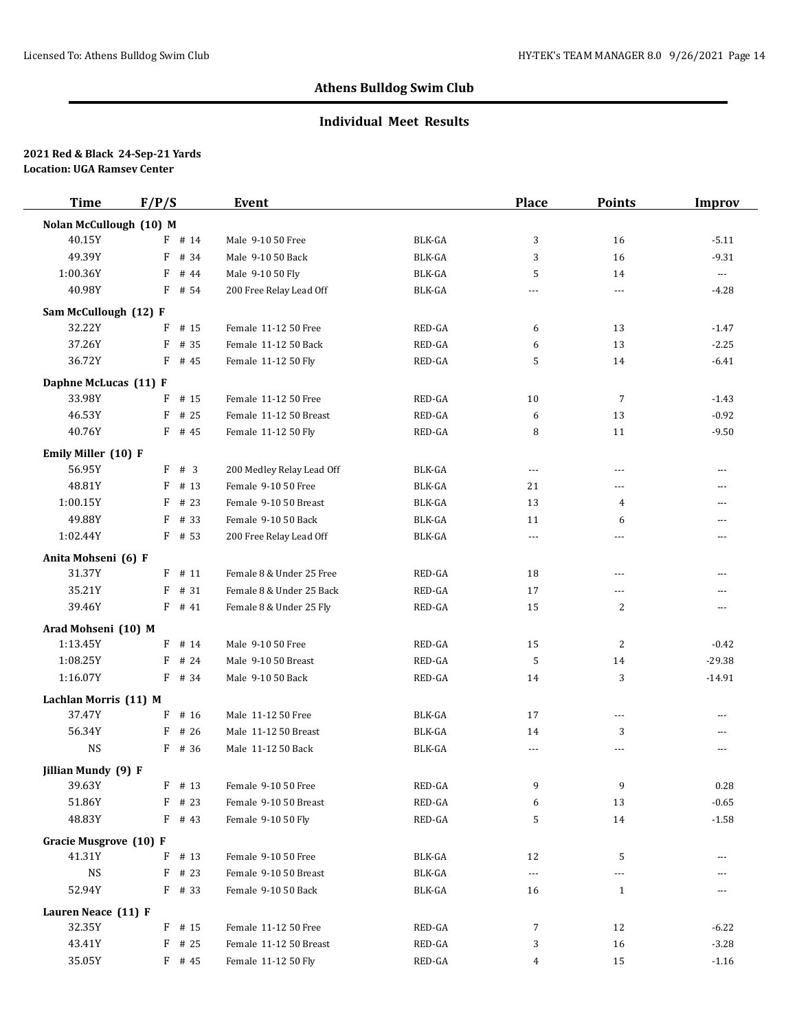### **Individual Meet Results**

| <b>Time</b>             | F/P/S     | Event                     |               | Place                | <b>Points</b>  | <b>Improv</b>  |
|-------------------------|-----------|---------------------------|---------------|----------------------|----------------|----------------|
| Nolan McCullough (10) M |           |                           |               |                      |                |                |
| 40.15Y                  | $F$ # 14  | Male 9-10 50 Free         | BLK-GA        | 3                    | 16             | $-5.11$        |
| 49.39Y                  | F<br># 34 | Male 9-10 50 Back         | BLK-GA        | 3                    | 16             | $-9.31$        |
| 1:00.36Y                | F<br># 44 | Male 9-10 50 Fly          | <b>BLK-GA</b> | 5                    | 14             | $\cdots$       |
| 40.98Y                  | $F$ # 54  | 200 Free Relay Lead Off   | <b>BLK-GA</b> | $\cdots$             | ---            | $-4.28$        |
| Sam McCullough (12) F   |           |                           |               |                      |                |                |
| 32.22Y                  | F<br># 15 | Female 11-12 50 Free      | RED-GA        | 6                    | 13             | $-1.47$        |
| 37.26Y                  | F<br># 35 | Female 11-12 50 Back      | RED-GA        | 6                    | 13             | $-2.25$        |
| 36.72Y                  | $F$ # 45  | Female 11-12 50 Fly       | RED-GA        | 5                    | 14             | $-6.41$        |
| Daphne McLucas (11) F   |           |                           |               |                      |                |                |
| 33.98Y                  | # 15<br>F | Female 11-12 50 Free      | RED-GA        | 10                   | $\overline{7}$ | $-1.43$        |
| 46.53Y                  | # 25<br>F | Female 11-12 50 Breast    | RED-GA        | 6                    | 13             | $-0.92$        |
| 40.76Y                  | $F$ # 45  | Female 11-12 50 Fly       | RED-GA        | 8                    | 11             | $-9.50$        |
| Emily Miller (10) F     |           |                           |               |                      |                |                |
| 56.95Y                  | F # 3     | 200 Medley Relay Lead Off | BLK-GA        | $\scriptstyle\cdots$ | $---$          | $\overline{a}$ |
| 48.81Y                  | F<br># 13 | Female 9-10 50 Free       | BLK-GA        | 21                   | ---            | ---            |
| 1:00.15Y                | F<br># 23 | Female 9-10 50 Breast     | BLK-GA        | 13                   | 4              | ---            |
| 49.88Y                  | F<br># 33 | Female 9-10 50 Back       | BLK-GA        | 11                   | 6              | $-$            |
| 1:02.44Y                | $F$ # 53  | 200 Free Relay Lead Off   | BLK-GA        | $\cdots$             | ---            | $---$          |
| Anita Mohseni (6) F     |           |                           |               |                      |                |                |
| 31.37Y                  | $F$ # 11  | Female 8 & Under 25 Free  | RED-GA        | 18                   | ---            | ---            |
| 35.21Y                  | F<br># 31 | Female 8 & Under 25 Back  | RED-GA        | 17                   | ---            | $\overline{a}$ |
| 39.46Y                  | $F$ # 41  | Female 8 & Under 25 Fly   | RED-GA        | 15                   | 2              | ---            |
| Arad Mohseni (10) M     |           |                           |               |                      |                |                |
| 1:13.45Y                | $F$ # 14  | Male 9-10 50 Free         | RED-GA        | 15                   | 2              | $-0.42$        |
| 1:08.25Y                | # 24<br>F | Male 9-10 50 Breast       | RED-GA        | 5                    | 14             | $-29.38$       |
| 1:16.07Y                | $F$ # 34  | Male 9-10 50 Back         | RED-GA        | 14                   | 3              | $-14.91$       |
| Lachlan Morris (11) M   |           |                           |               |                      |                |                |
| 37.47Y                  | F<br># 16 | Male 11-12 50 Free        | BLK-GA        | 17                   | ---            | $\overline{a}$ |
| 56.34Y                  | # 26<br>F | Male 11-12 50 Breast      | BLK-GA        | 14                   | 3              | $---$          |
| <b>NS</b>               | $F$ # 36  | Male 11-12 50 Back        | BLK-GA        | $---$                | $\overline{a}$ | $\overline{a}$ |
| Jillian Mundy (9) F     |           |                           |               |                      |                |                |
| 39.63Y                  | $F$ # 13  | Female 9-10 50 Free       | RED-GA        | 9                    | 9              | 0.28           |
| 51.86Y                  | F<br># 23 | Female 9-10 50 Breast     | RED-GA        | 6                    | 13             | $-0.65$        |
| 48.83Y                  | $F$ # 43  | Female 9-10 50 Fly        | RED-GA        | 5                    | 14             | $-1.58$        |
| Gracie Musgrove (10) F  |           |                           |               |                      |                |                |
| 41.31Y                  | $F$ # 13  | Female 9-10 50 Free       | BLK-GA        | 12                   | 5              |                |
| NS                      | $F$ # 23  | Female 9-10 50 Breast     | BLK-GA        | $\scriptstyle\cdots$ | ---            | ---            |
| 52.94Y                  | $F$ # 33  | Female 9-10 50 Back       | BLK-GA        | 16                   | $\mathbf{1}$   | ---            |
| Lauren Neace (11) F     |           |                           |               |                      |                |                |
| 32.35Y                  | $F$ # 15  | Female 11-12 50 Free      | RED-GA        | 7                    | 12             | $-6.22$        |
| 43.41Y                  | $F$ # 25  | Female 11-12 50 Breast    | RED-GA        | 3                    | 16             | $-3.28$        |
| 35.05Y                  | $F$ # 45  | Female 11-12 50 Fly       | RED-GA        | 4                    | 15             | $-1.16$        |
|                         |           |                           |               |                      |                |                |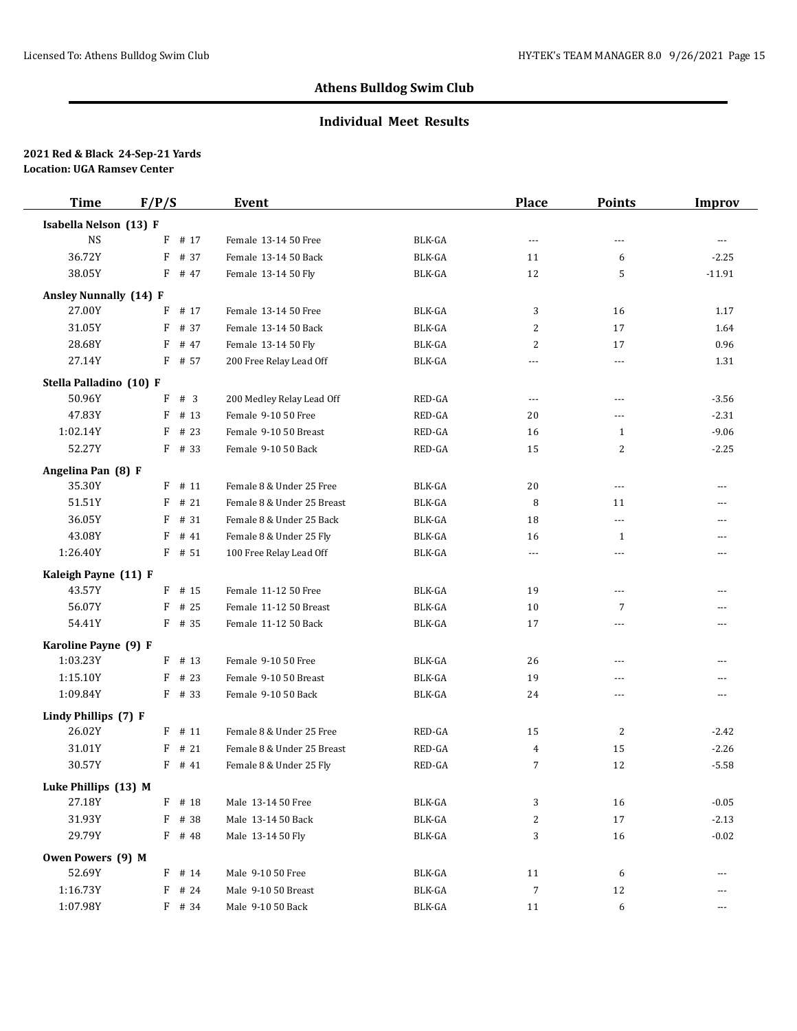### **Individual Meet Results**

| <b>Time</b>                   | F/P/S    |          | Event                      |                         | Place          | <b>Points</b>                  | <b>Improv</b>            |
|-------------------------------|----------|----------|----------------------------|-------------------------|----------------|--------------------------------|--------------------------|
| Isabella Nelson (13) F        |          |          |                            |                         |                |                                |                          |
| <b>NS</b>                     | F        | # 17     | Female 13-14 50 Free       | BLK-GA                  | $---$          | ---                            | $\overline{\phantom{a}}$ |
| 36.72Y                        | F        | # 37     | Female 13-14 50 Back       | BLK-GA                  | 11             | 6                              | $-2.25$                  |
| 38.05Y                        | $F$ # 47 |          | Female 13-14 50 Fly        | <b>BLK-GA</b>           | 12             | 5                              | $-11.91$                 |
| <b>Ansley Nunnally (14) F</b> |          |          |                            |                         |                |                                |                          |
| 27.00Y                        | F        | # 17     | Female 13-14 50 Free       | BLK-GA                  | 3              | 16                             | 1.17                     |
| 31.05Y                        | F        | # 37     | Female 13-14 50 Back       | BLK-GA                  | 2              | 17                             | 1.64                     |
| 28.68Y                        | F        | # 47     | Female 13-14 50 Fly        | BLK-GA                  | 2              | 17                             | 0.96                     |
| 27.14Y                        | $F$ # 57 |          | 200 Free Relay Lead Off    | BLK-GA                  | $---$          | $\overline{a}$                 | 1.31                     |
| Stella Palladino (10) F       |          |          |                            |                         |                |                                |                          |
| 50.96Y                        | F        | #3       | 200 Medley Relay Lead Off  | RED-GA                  | $---$          | $---$                          | $-3.56$                  |
| 47.83Y                        | F        | # 13     | Female 9-10 50 Free        | RED-GA                  | 20             | ---                            | $-2.31$                  |
| 1:02.14Y                      | F        | # 23     | Female 9-10 50 Breast      | RED-GA                  | 16             | $\mathbf{1}$                   | $-9.06$                  |
| 52.27Y                        | $F$ # 33 |          | Female 9-10 50 Back        | RED-GA                  | 15             | 2                              | $-2.25$                  |
|                               |          |          |                            |                         |                |                                |                          |
| Angelina Pan (8) F<br>35.30Y  | F        | # 11     | Female 8 & Under 25 Free   | BLK-GA                  | 20             |                                |                          |
| 51.51Y                        | F        | #21      | Female 8 & Under 25 Breast | BLK-GA                  | 8              | $\overline{\phantom{a}}$<br>11 | ---                      |
| 36.05Y                        | F        | # 31     | Female 8 & Under 25 Back   | BLK-GA                  |                | $\overline{a}$                 | ---<br>---               |
| 43.08Y                        | F        | # 41     | Female 8 & Under 25 Fly    | BLK-GA                  | 18             |                                |                          |
| 1:26.40Y                      | $F$ # 51 |          | 100 Free Relay Lead Off    | BLK-GA                  | 16             | $\mathbf{1}$<br>$\overline{a}$ | ---<br>---               |
|                               |          |          |                            |                         | $---$          |                                |                          |
| Kaleigh Payne (11) F          |          |          |                            |                         |                |                                |                          |
| 43.57Y                        | $F$ # 15 |          | Female 11-12 50 Free       | BLK-GA                  | 19             | $\overline{a}$                 | ---                      |
| 56.07Y                        | F        | # 25     | Female 11-12 50 Breast     | BLK-GA                  | 10             | 7                              | ---                      |
| 54.41Y                        | $F$ # 35 |          | Female 11-12 50 Back       | BLK-GA                  | 17             | $\overline{a}$                 | $\overline{a}$           |
| Karoline Payne (9) F          |          |          |                            |                         |                |                                |                          |
| 1:03.23Y                      | $F$ # 13 |          | Female 9-10 50 Free        | BLK-GA                  | 26             | $\overline{a}$                 | $\sim$                   |
| 1:15.10Y                      | F        | # 23     | Female 9-10 50 Breast      | BLK-GA                  | 19             | $\overline{a}$                 | ---                      |
| 1:09.84Y                      | $F$ # 33 |          | Female 9-10 50 Back        | $\operatorname{BLK-GA}$ | 24             | $\overline{a}$                 | $---$                    |
| Lindy Phillips (7) F          |          |          |                            |                         |                |                                |                          |
| 26.02Y                        | $F$ # 11 |          | Female 8 & Under 25 Free   | RED-GA                  | 15             | 2                              | $-2.42$                  |
| 31.01Y                        | F        | # 21     | Female 8 & Under 25 Breast | RED-GA                  | 4              | 15                             | $-2.26$                  |
| 30.57Y                        | F        | # 41     | Female 8 & Under 25 Fly    | RED-GA                  | 7              | 12                             | $-5.58$                  |
| Luke Phillips (13) M          |          |          |                            |                         |                |                                |                          |
| 27.18Y                        | F        | # 18     | Male 13-14 50 Free         | BLK-GA                  | 3              | 16                             | $-0.05$                  |
| 31.93Y                        | F        | # 38     | Male 13-14 50 Back         | BLK-GA                  | $\overline{c}$ | 17                             | $-2.13$                  |
| 29.79Y                        | F # 48   |          | Male 13-14 50 Fly          | BLK-GA                  | 3              | 16                             | $-0.02$                  |
| Owen Powers (9) M             |          |          |                            |                         |                |                                |                          |
| 52.69Y                        |          | $F$ # 14 | Male 9-10 50 Free          | BLK-GA                  | 11             | 6                              | ---                      |
| 1:16.73Y                      | F        | # 24     | Male 9-10 50 Breast        | BLK-GA                  | 7              | 12                             | ---                      |
| 1:07.98Y                      |          | F # 34   | Male 9-10 50 Back          | BLK-GA                  | 11             | 6                              | ---                      |
|                               |          |          |                            |                         |                |                                |                          |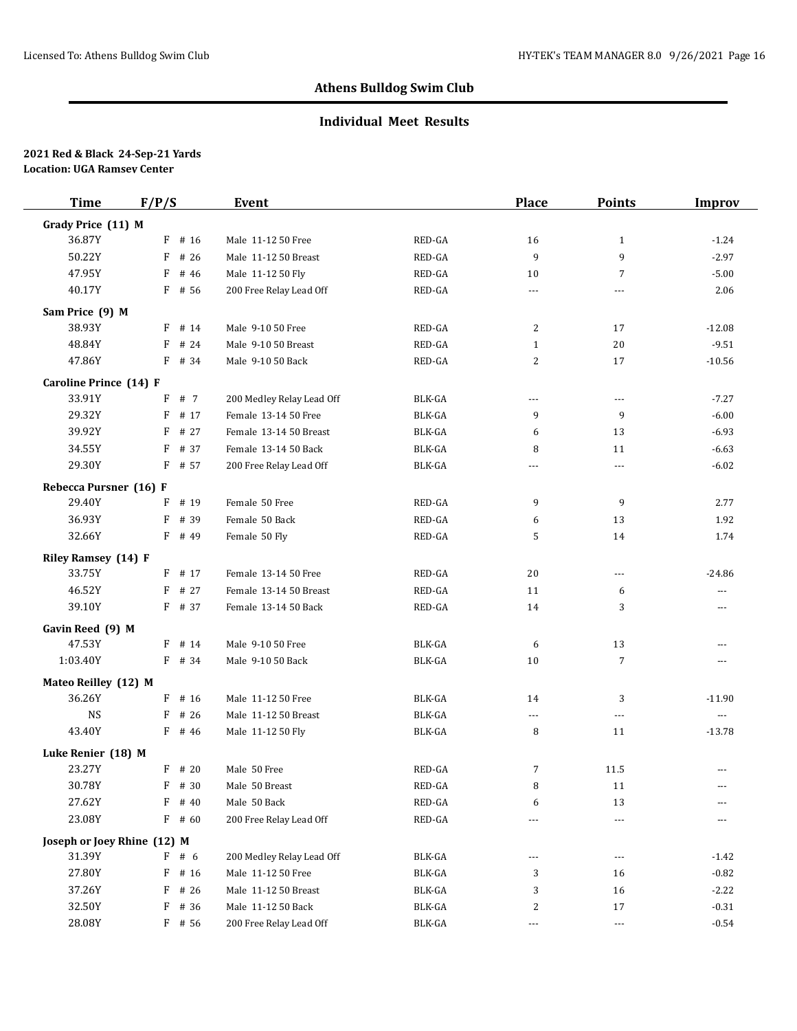## **Individual Meet Results**

| <b>Time</b>                 | F/P/S     | Event                     |               | <b>Place</b>   | <b>Points</b>  | <b>Improv</b>        |
|-----------------------------|-----------|---------------------------|---------------|----------------|----------------|----------------------|
| Grady Price (11) M          |           |                           |               |                |                |                      |
| 36.87Y                      | $F$ # 16  | Male 11-12 50 Free        | RED-GA        | 16             | $\mathbf{1}$   | $-1.24$              |
| 50.22Y                      | F<br># 26 | Male 11-12 50 Breast      | RED-GA        | 9              | 9              | $-2.97$              |
| 47.95Y                      | F<br># 46 | Male 11-12 50 Fly         | RED-GA        | 10             | $\overline{7}$ | $-5.00$              |
| 40.17Y                      | $F$ # 56  | 200 Free Relay Lead Off   | RED-GA        | $\overline{a}$ | $\overline{a}$ | 2.06                 |
| Sam Price (9) M             |           |                           |               |                |                |                      |
| 38.93Y                      | $F$ # 14  | Male 9-10 50 Free         | RED-GA        | 2              | 17             | $-12.08$             |
| 48.84Y                      | F<br># 24 | Male 9-10 50 Breast       | RED-GA        | $\mathbf{1}$   | 20             | $-9.51$              |
| 47.86Y                      | F # 34    | Male 9-10 50 Back         | RED-GA        | 2              | 17             | $-10.56$             |
| Caroline Prince (14) F      |           |                           |               |                |                |                      |
| 33.91Y                      | F<br># 7  | 200 Medley Relay Lead Off | BLK-GA        | $\cdots$       | $\cdots$       | $-7.27$              |
| 29.32Y                      | # 17<br>F | Female 13-14 50 Free      | <b>BLK-GA</b> | 9              | 9              | $-6.00$              |
| 39.92Y                      | F<br># 27 | Female 13-14 50 Breast    | BLK-GA        | 6              | 13             | $-6.93$              |
| 34.55Y                      | F # 37    | Female 13-14 50 Back      | BLK-GA        | 8              | 11             | $-6.63$              |
| 29.30Y                      | F # 57    | 200 Free Relay Lead Off   | BLK-GA        | ---            | $\cdots$       | $-6.02$              |
| Rebecca Pursner (16) F      |           |                           |               |                |                |                      |
| 29.40Y                      | $F$ # 19  | Female 50 Free            | RED-GA        | 9              | 9              | 2.77                 |
| 36.93Y                      | F # 39    | Female 50 Back            | RED-GA        | 6              | 13             | 1.92                 |
| 32.66Y                      | $F$ # 49  | Female 50 Fly             | RED-GA        | 5              | 14             | 1.74                 |
| <b>Riley Ramsey (14) F</b>  |           |                           |               |                |                |                      |
| 33.75Y                      | $F$ # 17  | Female 13-14 50 Free      | RED-GA        | 20             | $\cdots$       | -24.86               |
| 46.52Y                      | $F$ # 27  | Female 13-14 50 Breast    | RED-GA        | 11             | 6              | $---$                |
| 39.10Y                      | F # 37    | Female 13-14 50 Back      | RED-GA        | 14             | 3              | $---$                |
| Gavin Reed (9) M            |           |                           |               |                |                |                      |
| 47.53Y                      | $F$ # 14  | Male 9-10 50 Free         | BLK-GA        | 6              | 13             | $\cdots$             |
| 1:03.40Y                    | F # 34    | Male 9-10 50 Back         | BLK-GA        | 10             | 7              | $---$                |
| Mateo Reilley (12) M        |           |                           |               |                |                |                      |
| 36.26Y                      | $F$ # 16  | Male 11-12 50 Free        | BLK-GA        | 14             | 3              | $-11.90$             |
| <b>NS</b>                   | $F$ # 26  | Male 11-12 50 Breast      | BLK-GA        | $\cdots$       | $\cdots$       | $\scriptstyle\cdots$ |
| 43.40Y                      | $F$ # 46  | Male 11-12 50 Fly         | BLK-GA        | 8              | 11             | $-13.78$             |
| Luke Renier (18) M          |           |                           |               |                |                |                      |
| 23.27Y                      | $F$ # 20  | Male 50 Free              | RED-GA        | 7              | 11.5           | $---$                |
| 30.78Y                      | F # 30    | Male 50 Breast            | RED-GA        | 8              | 11             | ---                  |
| 27.62Y                      | F<br># 40 | Male 50 Back              | RED-GA        | 6              | 13             |                      |
| 23.08Y                      | $F$ # 60  | 200 Free Relay Lead Off   | RED-GA        | $\cdots$       | $\cdots$       | $---$                |
| Joseph or Joey Rhine (12) M |           |                           |               |                |                |                      |
| 31.39Y                      | F # 6     | 200 Medley Relay Lead Off | BLK-GA        | ---            | $\cdots$       | $-1.42$              |
| 27.80Y                      | F<br># 16 | Male 11-12 50 Free        | BLK-GA        | 3              | 16             | $-0.82$              |
| 37.26Y                      | F<br># 26 | Male 11-12 50 Breast      | BLK-GA        | 3              | 16             | $-2.22$              |
| 32.50Y                      | F<br># 36 | Male 11-12 50 Back        | BLK-GA        | 2              | 17             | $-0.31$              |
| 28.08Y                      | F # 56    | 200 Free Relay Lead Off   | BLK-GA        | $\cdots$       | $\cdots$       | $-0.54$              |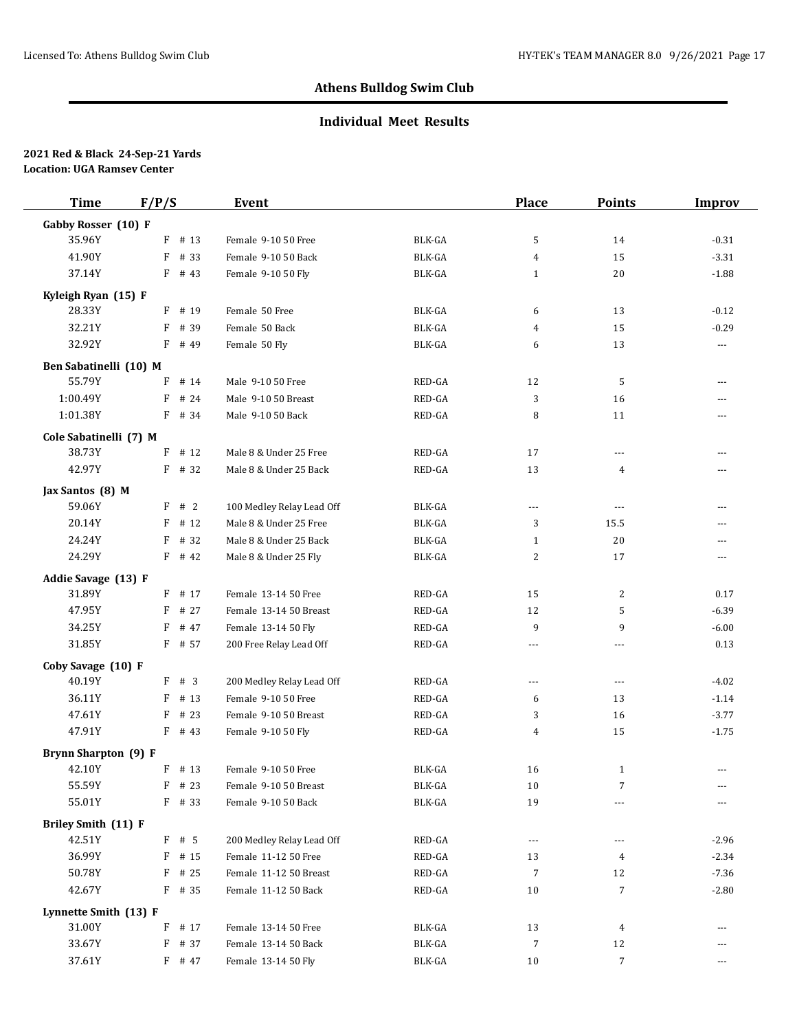### **Individual Meet Results**

| <b>Time</b>            | F/P/S     | Event                     |               | <b>Place</b>   | <b>Points</b>  | <b>Improv</b>        |
|------------------------|-----------|---------------------------|---------------|----------------|----------------|----------------------|
| Gabby Rosser (10) F    |           |                           |               |                |                |                      |
| 35.96Y                 | F<br># 13 | Female 9-10 50 Free       | BLK-GA        | 5              | 14             | $-0.31$              |
| 41.90Y                 | F<br># 33 | Female 9-10 50 Back       | <b>BLK-GA</b> | 4              | 15             | $-3.31$              |
| 37.14Y                 | $F$ # 43  | Female 9-10 50 Fly        | BLK-GA        | $\mathbf{1}$   | 20             | $-1.88$              |
| Kyleigh Ryan (15) F    |           |                           |               |                |                |                      |
| 28.33Y                 | $F$ # 19  | Female 50 Free            | BLK-GA        | 6              | 13             | $-0.12$              |
| 32.21Y                 | F<br># 39 | Female 50 Back            | BLK-GA        | 4              | 15             | $-0.29$              |
| 32.92Y                 | F<br># 49 | Female 50 Fly             | BLK-GA        | 6              | 13             | $\scriptstyle\cdots$ |
| Ben Sabatinelli (10) M |           |                           |               |                |                |                      |
| 55.79Y                 | F<br># 14 | Male 9-10 50 Free         | RED-GA        | 12             | 5              | ---                  |
| 1:00.49Y               | # 24<br>F | Male 9-10 50 Breast       | RED-GA        | 3              | 16             | ---                  |
| 1:01.38Y               | $F$ # 34  | Male 9-10 50 Back         | RED-GA        | 8              | 11             | ---                  |
| Cole Sabatinelli (7) M |           |                           |               |                |                |                      |
| 38.73Y                 | F<br># 12 | Male 8 & Under 25 Free    | RED-GA        | 17             | ---            | ---                  |
| 42.97Y                 | F # 32    | Male 8 & Under 25 Back    | RED-GA        | 13             | 4              | ---                  |
| Jax Santos (8) M       |           |                           |               |                |                |                      |
| 59.06Y                 | F # 2     | 100 Medley Relay Lead Off | BLK-GA        | $\overline{a}$ | $\overline{a}$ | ---                  |
| 20.14Y                 | # 12<br>F | Male 8 & Under 25 Free    | <b>BLK-GA</b> | 3              | 15.5           | ---                  |
| 24.24Y                 | # 32<br>F | Male 8 & Under 25 Back    | BLK-GA        | $\mathbf{1}$   | 20             | ---                  |
| 24.29Y                 | $F$ # 42  | Male 8 & Under 25 Fly     | BLK-GA        | 2              | 17             | ---                  |
| Addie Savage (13) F    |           |                           |               |                |                |                      |
| 31.89Y                 | $F$ # 17  | Female 13-14 50 Free      | RED-GA        | 15             | 2              | 0.17                 |
| 47.95Y                 | F<br># 27 | Female 13-14 50 Breast    | RED-GA        | 12             | 5              | $-6.39$              |
| 34.25Y                 | F<br># 47 | Female 13-14 50 Fly       | RED-GA        | 9              | 9              | $-6.00$              |
| 31.85Y                 | F # 57    | 200 Free Relay Lead Off   | RED-GA        | ---            | ---            | 0.13                 |
| Coby Savage (10) F     |           |                           |               |                |                |                      |
| 40.19Y                 | F<br>#3   | 200 Medley Relay Lead Off | RED-GA        | ---            | ---            | $-4.02$              |
| 36.11Y                 | F<br># 13 | Female 9-10 50 Free       | RED-GA        | 6              | 13             | $-1.14$              |
| 47.61Y                 | F<br># 23 | Female 9-10 50 Breast     | RED-GA        | 3              | 16             | $-3.77$              |
| 47.91Y                 | $F$ # 43  | Female 9-10 50 Fly        | RED-GA        | 4              | 15             | $-1.75$              |
| Brynn Sharpton (9) F   |           |                           |               |                |                |                      |
| 42.10Y                 | $F$ # 13  | Female 9-10 50 Free       | BLK-GA        | 16             | $\mathbf{1}$   | ---                  |
| 55.59Y                 | $F$ # 23  | Female 9-10 50 Breast     | BLK-GA        | 10             | 7              |                      |
| 55.01Y                 | $F$ # 33  | Female 9-10 50 Back       | BLK-GA        | 19             | ---            |                      |
| Briley Smith (11) F    |           |                           |               |                |                |                      |
| 42.51Y                 | $F$ # 5   | 200 Medley Relay Lead Off | RED-GA        | ---            | ---            | $-2.96$              |
| 36.99Y                 | $F$ # 15  | Female 11-12 50 Free      | RED-GA        | 13             | 4              | $-2.34$              |
| 50.78Y                 | F<br># 25 | Female 11-12 50 Breast    | RED-GA        | 7              | 12             | $-7.36$              |
| 42.67Y                 | $F$ # 35  | Female 11-12 50 Back      | RED-GA        | 10             | 7              | $-2.80$              |
| Lynnette Smith (13) F  |           |                           |               |                |                |                      |
| 31.00Y                 | # 17<br>F | Female 13-14 50 Free      | BLK-GA        | 13             | 4              | ---                  |
| 33.67Y                 | # 37<br>F | Female 13-14 50 Back      | BLK-GA        | $\overline{7}$ | 12             | ---                  |
| 37.61Y                 | $F$ # 47  | Female 13-14 50 Fly       | BLK-GA        | 10             | 7              | ---                  |
|                        |           |                           |               |                |                |                      |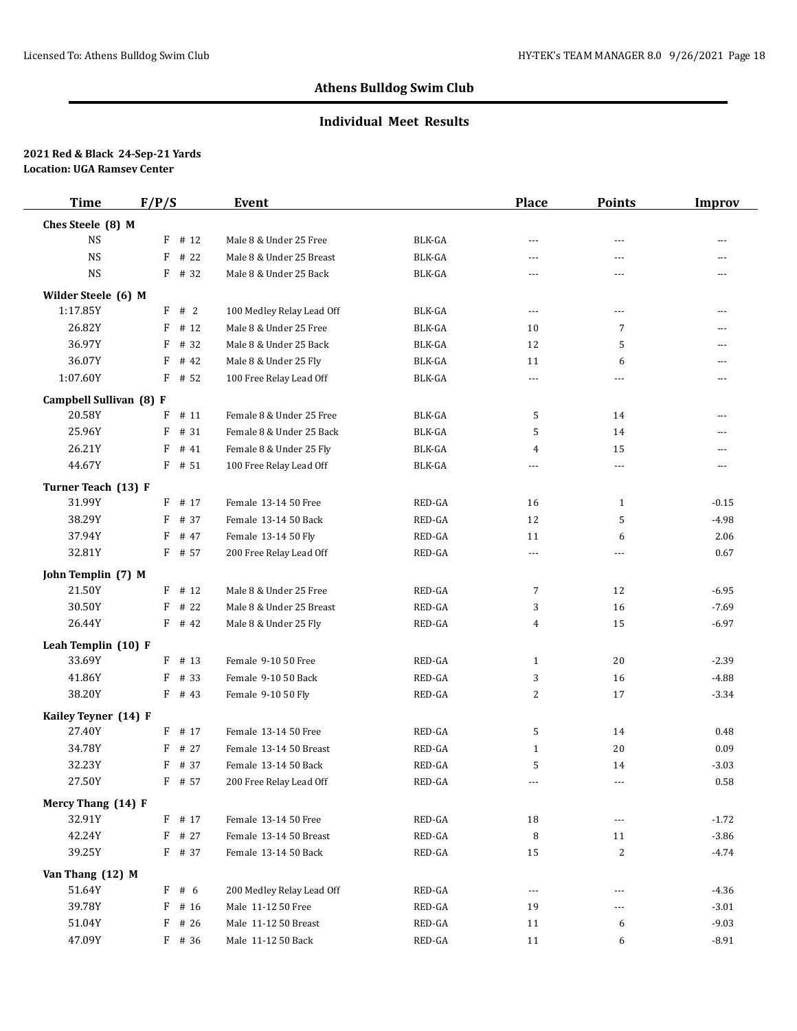## **Individual Meet Results**

| <b>Time</b>             | F/P/S                 | Event                     |                                             | <b>Place</b>         | <b>Points</b>  | <b>Improv</b>  |
|-------------------------|-----------------------|---------------------------|---------------------------------------------|----------------------|----------------|----------------|
| Ches Steele (8) M       |                       |                           |                                             |                      |                |                |
| <b>NS</b>               | $F$ # 12              | Male 8 & Under 25 Free    | BLK-GA                                      | $\sim$ $\sim$        | $- - -$        | $- - -$        |
| <b>NS</b>               | # 22<br>F             | Male 8 & Under 25 Breast  | BLK-GA                                      | ---                  | ---            | ---            |
| $_{\rm NS}$             | F # 32                | Male 8 & Under 25 Back    | BLK-GA                                      | $- - -$              | $- - -$        | $---$          |
| Wilder Steele (6) M     |                       |                           |                                             |                      |                |                |
| 1:17.85Y                | F # 2                 | 100 Medley Relay Lead Off | BLK-GA                                      | $\cdots$             | $\cdots$       | $\cdots$       |
| 26.82Y                  | # 12<br>F             | Male 8 & Under 25 Free    | BLK-GA                                      | 10                   | 7              | $-$            |
| 36.97Y                  | F<br># 32             | Male 8 & Under 25 Back    | BLK-GA                                      | 12                   | 5              | $\overline{a}$ |
| 36.07Y                  | F<br># 42             | Male 8 & Under 25 Fly     | BLK-GA                                      | 11                   | 6              | $\overline{a}$ |
| 1:07.60Y                | $F$ # 52              | 100 Free Relay Lead Off   | BLK-GA                                      | $\cdots$             | $---$          | $\cdots$       |
| Campbell Sullivan (8) F |                       |                           |                                             |                      |                |                |
| 20.58Y                  | $\mathbf F$<br># 11   | Female 8 & Under 25 Free  | BLK-GA                                      | 5                    | 14             | $\sim$         |
| 25.96Y                  | F<br># 31             | Female 8 & Under 25 Back  | BLK-GA                                      | 5                    | 14             | $\frac{1}{2}$  |
| 26.21Y                  | F<br># 41             | Female 8 & Under 25 Fly   | BLK-GA                                      | 4                    | 15             | $\sim$         |
| 44.67Y                  | $F$ # 51              | 100 Free Relay Lead Off   | BLK-GA                                      | $\cdots$             | $\cdots$       | $\frac{1}{2}$  |
| Turner Teach (13) F     |                       |                           |                                             |                      |                |                |
| 31.99Y                  | $F$ # 17              | Female 13-14 50 Free      | RED-GA                                      | 16                   | 1              | $-0.15$        |
| 38.29Y                  | F<br># 37             | Female 13-14 50 Back      | RED-GA                                      | 12                   | 5              | $-4.98$        |
| 37.94Y                  | F<br># 47             | Female 13-14 50 Fly       | RED-GA                                      | 11                   | 6              | 2.06           |
| 32.81Y                  | F # 57                | 200 Free Relay Lead Off   | RED-GA                                      | $\overline{a}$       | $\overline{a}$ | 0.67           |
|                         |                       |                           |                                             |                      |                |                |
| John Templin (7) M      |                       |                           |                                             |                      |                |                |
| 21.50Y                  | $F$ # 12              | Male 8 & Under 25 Free    | RED-GA                                      | 7                    | 12             | $-6.95$        |
| 30.50Y<br>26.44Y        | F<br># 22<br>$F$ # 42 | Male 8 & Under 25 Breast  | RED-GA<br>$\mathsf{RED}\text{-}\mathsf{GA}$ | 3                    | 16<br>15       | $-7.69$        |
|                         |                       | Male 8 & Under 25 Fly     |                                             | 4                    |                | $-6.97$        |
| Leah Templin (10) F     |                       |                           |                                             |                      |                |                |
| 33.69Y                  | $F$ # 13              | Female 9-10 50 Free       | RED-GA                                      | $\mathbf{1}$         | 20             | $-2.39$        |
| 41.86Y                  | F<br># 33             | Female 9-10 50 Back       | RED-GA                                      | 3                    | 16             | $-4.88$        |
| 38.20Y                  | $F$ # 43              | Female 9-10 50 Fly        | RED-GA                                      | 2                    | 17             | $-3.34$        |
| Kailey Teyner (14) F    |                       |                           |                                             |                      |                |                |
| 27.40Y                  | $F$ # 17              | Female 13-14 50 Free      | RED-GA                                      | 5                    | 14             | 0.48           |
| 34.78Y                  | # 27<br>F             | Female 13-14 50 Breast    | RED-GA                                      | $\mathbf{1}$         | 20             | 0.09           |
| 32.23Y                  | F<br># 37             | Female 13-14 50 Back      | RED-GA                                      | 5                    | 14             | $-3.03$        |
| 27.50Y                  | $F$ # 57              | 200 Free Relay Lead Off   | RED-GA                                      | $\scriptstyle\cdots$ | $\cdots$       | 0.58           |
| Mercy Thang (14) F      |                       |                           |                                             |                      |                |                |
| 32.91Y                  | F # 17                | Female 13-14 50 Free      | RED-GA                                      | 18                   | $\cdots$       | $-1.72$        |
| 42.24Y                  | # 27<br>F             | Female 13-14 50 Breast    | RED-GA                                      | 8                    | 11             | $-3.86$        |
| 39.25Y                  | F # 37                | Female 13-14 50 Back      | RED-GA                                      | 15                   | $\overline{c}$ | $-4.74$        |
| Van Thang (12) M        |                       |                           |                                             |                      |                |                |
| 51.64Y                  | F<br># 6              | 200 Medley Relay Lead Off | RED-GA                                      | $\cdots$             | ---            | $-4.36$        |
| 39.78Y                  | F<br># 16             | Male 11-12 50 Free        | RED-GA                                      | 19                   | ---            | $-3.01$        |
| 51.04Y                  | F<br># 26             | Male 11-12 50 Breast      | RED-GA                                      | 11                   | 6              | $-9.03$        |
| 47.09Y                  | $F$ # 36              | Male 11-12 50 Back        | RED-GA                                      | 11                   | 6              | $-8.91$        |
|                         |                       |                           |                                             |                      |                |                |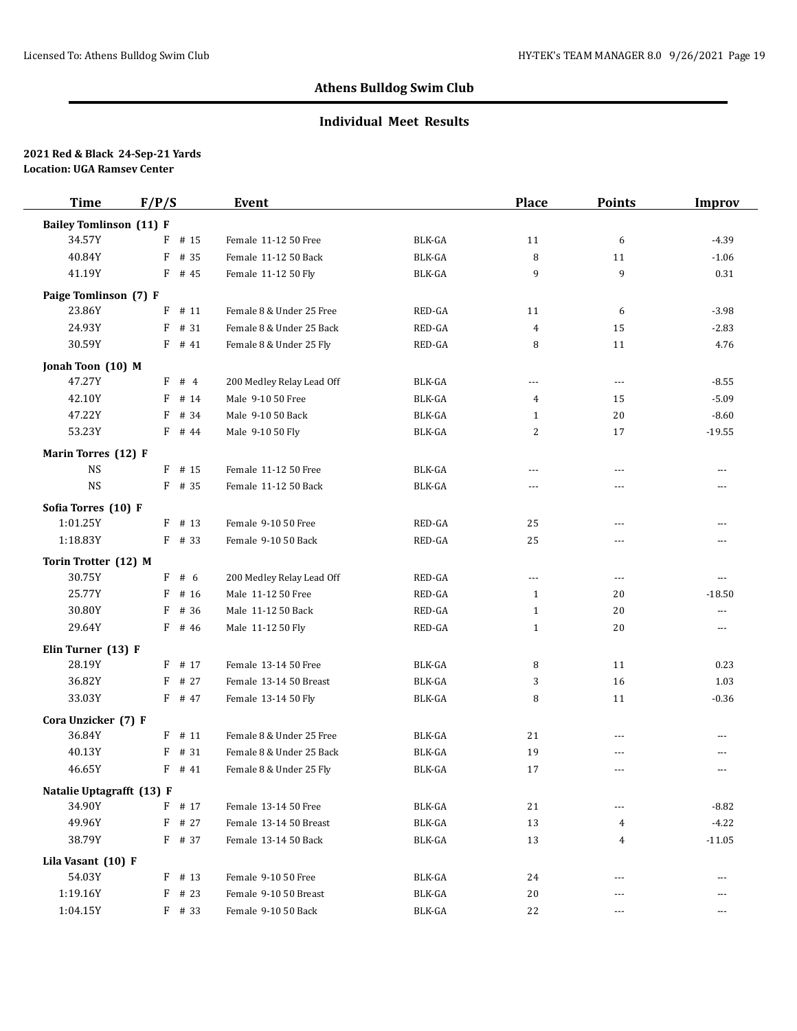## **Individual Meet Results**

| <b>Time</b>                    | F/P/S     | <b>Event</b>              |                                   | <b>Place</b>   | <b>Points</b>  | <b>Improv</b>            |
|--------------------------------|-----------|---------------------------|-----------------------------------|----------------|----------------|--------------------------|
| <b>Bailey Tomlinson (11) F</b> |           |                           |                                   |                |                |                          |
| 34.57Y                         | # 15<br>F | Female 11-12 50 Free      | BLK-GA                            | 11             | 6              | $-4.39$                  |
| 40.84Y                         | F<br># 35 | Female 11-12 50 Back      | <b>BLK-GA</b>                     | 8              | 11             | $-1.06$                  |
| 41.19Y                         | $F$ # 45  | Female 11-12 50 Fly       | BLK-GA                            | 9              | 9              | 0.31                     |
| Paige Tomlinson (7) F          |           |                           |                                   |                |                |                          |
| 23.86Y                         | # 11<br>F | Female 8 & Under 25 Free  | RED-GA                            | 11             | 6              | $-3.98$                  |
| 24.93Y                         | # 31<br>F | Female 8 & Under 25 Back  | RED-GA                            | $\overline{4}$ | 15             | $-2.83$                  |
| 30.59Y                         | $F$ # 41  | Female 8 & Under 25 Fly   | RED-GA                            | 8              | 11             | 4.76                     |
| Jonah Toon (10) M              |           |                           |                                   |                |                |                          |
| 47.27Y                         | F # 4     | 200 Medley Relay Lead Off | BLK-GA                            | $\cdots$       | $\cdots$       | $-8.55$                  |
| 42.10Y                         | F<br># 14 | Male 9-10 50 Free         | BLK-GA                            | 4              | 15             | $-5.09$                  |
| 47.22Y                         | # 34<br>F | Male 9-10 50 Back         | BLK-GA                            | $\mathbf{1}$   | 20             | $-8.60$                  |
| 53.23Y                         | $F$ # 44  | Male 9-10 50 Fly          | BLK-GA                            | 2              | 17             | $-19.55$                 |
| Marin Torres (12) F            |           |                           |                                   |                |                |                          |
| <b>NS</b>                      | $F$ # 15  | Female 11-12 50 Free      | BLK-GA                            | $\cdots$       | $\overline{a}$ | $- - -$                  |
| $_{\rm NS}$                    | $F$ # 35  | Female 11-12 50 Back      | BLK-GA                            | $- - -$        | ---            |                          |
| Sofia Torres (10) F            |           |                           |                                   |                |                |                          |
| 1:01.25Y                       | $F$ # 13  | Female 9-10 50 Free       | RED-GA                            | 25             | ---            | $\sim$ $\sim$            |
| 1:18.83Y                       | $F$ # 33  | Female 9-10 50 Back       | RED-GA                            | 25             | ---            | ---                      |
| Torin Trotter (12) M           |           |                           |                                   |                |                |                          |
| 30.75Y                         | F<br># 6  | 200 Medley Relay Lead Off | RED-GA                            | $\cdots$       | $\cdots$       | $\cdots$                 |
| 25.77Y                         | F<br># 16 | Male 11-12 50 Free        | RED-GA                            | 1              | 20             | $-18.50$                 |
| 30.80Y                         | F<br># 36 | Male 11-12 50 Back        | RED-GA                            | $\mathbf{1}$   | 20             | $\cdots$                 |
| 29.64Y                         | F # 46    | Male 11-12 50 Fly         | $\mathsf{RED}\text{-}\mathsf{GA}$ | $\mathbf{1}$   | 20             | $\hspace{0.05cm} \ldots$ |
| Elin Turner (13) F             |           |                           |                                   |                |                |                          |
| 28.19Y                         | $F$ # 17  | Female 13-14 50 Free      | BLK-GA                            | 8              | 11             | 0.23                     |
| 36.82Y                         | # 27<br>F | Female 13-14 50 Breast    | BLK-GA                            | 3              | 16             | 1.03                     |
| 33.03Y                         | F # 47    | Female 13-14 50 Fly       | <b>BLK-GA</b>                     | 8              | 11             | $-0.36$                  |
| Cora Unzicker (7) F            |           |                           |                                   |                |                |                          |
| 36.84Y                         | $F$ # 11  | Female 8 & Under 25 Free  | BLK-GA                            | 21             | $\overline{a}$ | ---                      |
| 40.13Y                         | F<br># 31 | Female 8 & Under 25 Back  | BLK-GA                            | 19             | ---            |                          |
| 46.65Y                         | F<br># 41 | Female 8 & Under 25 Fly   | <b>BLK-GA</b>                     | 17             | $\sim$ $\sim$  | $\sim$ $\sim$            |
| Natalie Uptagrafft (13) F      |           |                           |                                   |                |                |                          |
| 34.90Y                         | F # 17    | Female 13-14 50 Free      | BLK-GA                            | 21             | $\overline{a}$ | $-8.82$                  |
| 49.96Y                         | $F$ # 27  | Female 13-14 50 Breast    | BLK-GA                            | 13             | 4              | $-4.22$                  |
| 38.79Y                         | $F$ # 37  | Female 13-14 50 Back      | BLK-GA                            | 13             | 4              | $-11.05$                 |
| Lila Vasant (10) F             |           |                           |                                   |                |                |                          |
| 54.03Y                         | $F$ # 13  | Female 9-10 50 Free       | BLK-GA                            | 24             | $\cdots$       | $\cdots$                 |
| 1:19.16Y                       | $F$ # 23  | Female 9-10 50 Breast     | BLK-GA                            | 20             | ---            | ---                      |
| 1:04.15Y                       | $F$ # 33  | Female 9-10 50 Back       | BLK-GA                            | 22             | $\cdots$       | $\cdots$                 |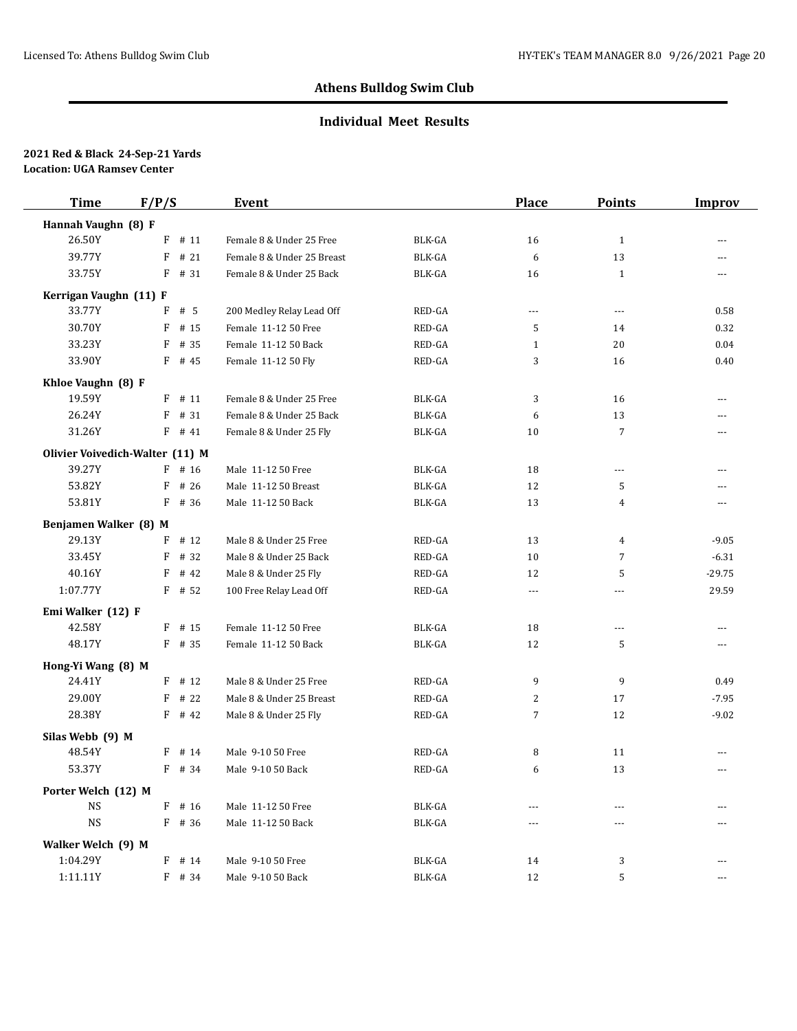## **Individual Meet Results**

| <b>Time</b>                     | F/P/S |          | Event                      |               | <b>Place</b> | <b>Points</b>  | <b>Improv</b>            |
|---------------------------------|-------|----------|----------------------------|---------------|--------------|----------------|--------------------------|
| Hannah Vaughn (8) F             |       |          |                            |               |              |                |                          |
| 26.50Y                          |       | $F$ # 11 | Female 8 & Under 25 Free   | BLK-GA        | 16           | $\mathbf{1}$   | ---                      |
| 39.77Y                          | F     | #21      | Female 8 & Under 25 Breast | BLK-GA        | 6            | 13             | $---$                    |
| 33.75Y                          |       | $F$ # 31 | Female 8 & Under 25 Back   | BLK-GA        | 16           | $\mathbf{1}$   | $\cdots$                 |
| Kerrigan Vaughn (11) F          |       |          |                            |               |              |                |                          |
| 33.77Y                          | F     | # 5      | 200 Medley Relay Lead Off  | RED-GA        | $\cdots$     | $\overline{a}$ | 0.58                     |
| 30.70Y                          | F     | # 15     | Female 11-12 50 Free       | RED-GA        | 5            | 14             | 0.32                     |
| 33.23Y                          | F     | # 35     | Female 11-12 50 Back       | RED-GA        | $\mathbf{1}$ | 20             | 0.04                     |
| 33.90Y                          |       | $F$ # 45 | Female 11-12 50 Fly        | RED-GA        | 3            | 16             | 0.40                     |
| Khloe Vaughn (8) F              |       |          |                            |               |              |                |                          |
| 19.59Y                          |       | $F$ # 11 | Female 8 & Under 25 Free   | BLK-GA        | 3            | 16             | $\overline{\phantom{a}}$ |
| 26.24Y                          | F     | # 31     | Female 8 & Under 25 Back   | BLK-GA        | 6            | 13             | $---$                    |
| 31.26Y                          |       | $F$ # 41 | Female 8 & Under 25 Fly    | BLK-GA        | 10           | 7              | ---                      |
| Olivier Voivedich-Walter (11) M |       |          |                            |               |              |                |                          |
| 39.27Y                          |       | $F$ # 16 | Male 11-12 50 Free         | BLK-GA        | 18           | $\cdots$       | $\sim$                   |
| 53.82Y                          | F     | # 26     | Male 11-12 50 Breast       | BLK-GA        | 12           | 5              | $\overline{a}$           |
| 53.81Y                          |       | $F$ # 36 | Male 11-12 50 Back         | BLK-GA        | 13           | 4              | $---$                    |
| Benjamen Walker (8) M           |       |          |                            |               |              |                |                          |
| 29.13Y                          | F     | # 12     | Male 8 & Under 25 Free     | RED-GA        | 13           | 4              | $-9.05$                  |
| 33.45Y                          | F     | # 32     | Male 8 & Under 25 Back     | RED-GA        | 10           | 7              | $-6.31$                  |
| 40.16Y                          |       | $F$ # 42 | Male 8 & Under 25 Fly      | RED-GA        | 12           | 5              | $-29.75$                 |
| 1:07.77Y                        |       | $F$ # 52 | 100 Free Relay Lead Off    | RED-GA        | $\cdots$     | $\sim$ $\sim$  | 29.59                    |
| Emi Walker (12) F               |       |          |                            |               |              |                |                          |
| 42.58Y                          |       | $F$ # 15 | Female 11-12 50 Free       | BLK-GA        | 18           | $\cdots$       | $---$                    |
| 48.17Y                          |       | $F$ # 35 | Female 11-12 50 Back       | BLK-GA        | 12           | 5              | $\cdots$                 |
| Hong-Yi Wang (8) M              |       |          |                            |               |              |                |                          |
| 24.41Y                          |       | $F$ # 12 | Male 8 & Under 25 Free     | RED-GA        | 9            | 9              | 0.49                     |
| 29.00Y                          |       | $F$ # 22 | Male 8 & Under 25 Breast   | RED-GA        | 2            | 17             | $-7.95$                  |
| 28.38Y                          |       | $F$ # 42 | Male 8 & Under 25 Fly      | RED-GA        | 7            | 12             | $-9.02$                  |
| Silas Webb (9) M                |       |          |                            |               |              |                |                          |
| 48.54Y                          | F     | # 14     | Male 9-10 50 Free          | RED-GA        | 8            | 11             | $\overline{a}$           |
| 53.37Y                          |       | $F$ # 34 | Male 9-10 50 Back          | RED-GA        | 6            | 13             | $\cdots$                 |
| Porter Welch (12) M             |       |          |                            |               |              |                |                          |
| <b>NS</b>                       |       | $F$ # 16 | Male 11-12 50 Free         | BLK-GA        |              |                |                          |
| <b>NS</b>                       |       | $F$ # 36 | Male 11-12 50 Back         | <b>BLK-GA</b> | ---          | ---            |                          |
| Walker Welch (9) M              |       |          |                            |               |              |                |                          |
| 1:04.29Y                        |       | $F$ # 14 | Male 9-10 50 Free          | BLK-GA        | 14           | 3              | $- - -$                  |
| 1:11.11Y                        |       | F # 34   | Male 9-10 50 Back          | BLK-GA        | 12           | 5              | $\cdots$                 |
|                                 |       |          |                            |               |              |                |                          |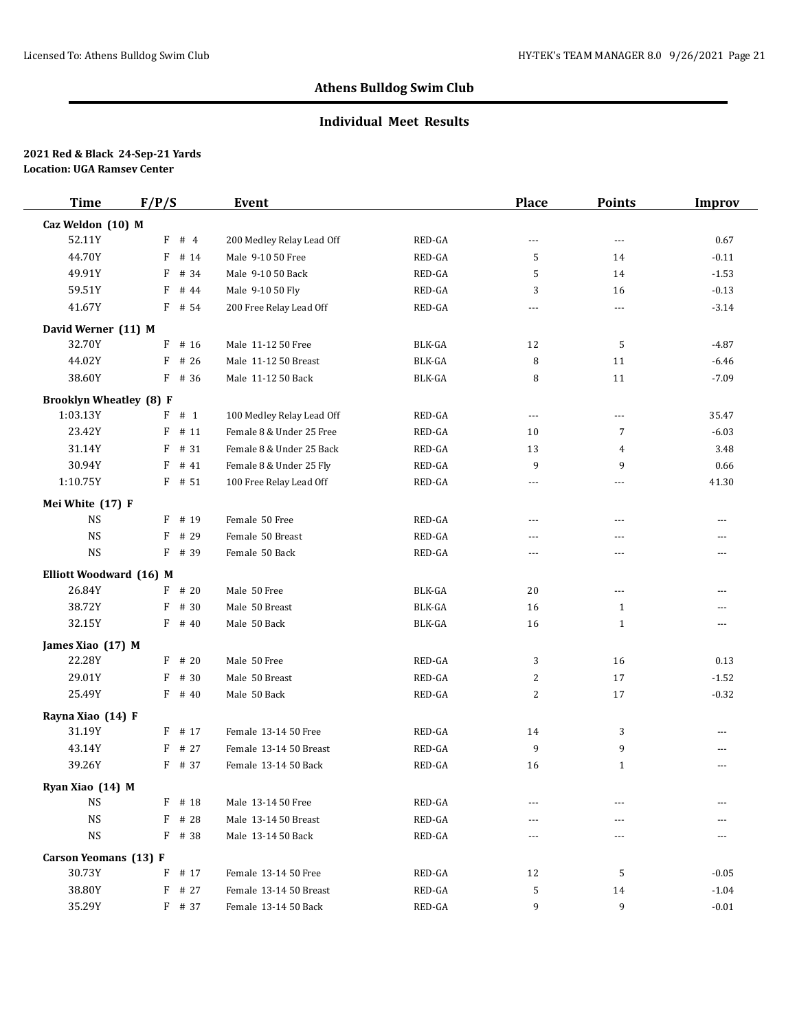### **Individual Meet Results**

| <b>Time</b>                    | F/P/S     | Event                     |               | <b>Place</b>   | <b>Points</b>  | <b>Improv</b>            |
|--------------------------------|-----------|---------------------------|---------------|----------------|----------------|--------------------------|
| Caz Weldon (10) M              |           |                           |               |                |                |                          |
| 52.11Y                         | $F$ # 4   | 200 Medley Relay Lead Off | RED-GA        | $\overline{a}$ | $\overline{a}$ | 0.67                     |
| 44.70Y                         | F<br># 14 | Male 9-10 50 Free         | RED-GA        | 5              | 14             | $-0.11$                  |
| 49.91Y                         | F<br># 34 | Male 9-10 50 Back         | RED-GA        | 5              | 14             | $-1.53$                  |
| 59.51Y                         | F<br># 44 | Male 9-10 50 Fly          | RED-GA        | 3              | 16             | $-0.13$                  |
| 41.67Y                         | $F$ # 54  | 200 Free Relay Lead Off   | RED-GA        | $\cdots$       | $\overline{a}$ | $-3.14$                  |
| David Werner (11) M            |           |                           |               |                |                |                          |
| 32.70Y                         | F<br># 16 | Male 11-12 50 Free        | BLK-GA        | 12             | 5              | $-4.87$                  |
| 44.02Y                         | # 26<br>F | Male 11-12 50 Breast      | BLK-GA        | 8              | 11             | $-6.46$                  |
| 38.60Y                         | $F$ # 36  | Male 11-12 50 Back        | BLK-GA        | 8              | 11             | $-7.09$                  |
| <b>Brooklyn Wheatley (8) F</b> |           |                           |               |                |                |                          |
| 1:03.13Y                       | $F$ # 1   | 100 Medley Relay Lead Off | RED-GA        | $\cdots$       | $\cdots$       | 35.47                    |
| 23.42Y                         | F<br># 11 | Female 8 & Under 25 Free  | RED-GA        | 10             | 7              | $-6.03$                  |
| 31.14Y                         | # 31<br>F | Female 8 & Under 25 Back  | RED-GA        | 13             | 4              | 3.48                     |
| 30.94Y                         | $F$ # 41  | Female 8 & Under 25 Fly   | RED-GA        | 9              | 9              | 0.66                     |
| 1:10.75Y                       | $F$ # 51  | 100 Free Relay Lead Off   | RED-GA        | $\cdots$       | $\sim$ $\sim$  | 41.30                    |
| Mei White (17) F               |           |                           |               |                |                |                          |
| <b>NS</b>                      | $F$ # 19  | Female 50 Free            | RED-GA        | $---$          | $\sim$ $\sim$  | $---$                    |
| <b>NS</b>                      | F<br># 29 | Female 50 Breast          | RED-GA        | $---$          | $\sim$ $\sim$  | $\overline{\phantom{a}}$ |
| $_{\rm NS}$                    | $F$ # 39  | Female 50 Back            | RED-GA        | $---$          | $\overline{a}$ | $\overline{a}$           |
| Elliott Woodward (16) M        |           |                           |               |                |                |                          |
| 26.84Y                         | $F$ # 20  | Male 50 Free              | BLK-GA        | 20             | $\cdots$       | $\cdots$                 |
| 38.72Y                         | F<br># 30 | Male 50 Breast            | <b>BLK-GA</b> | 16             | $\mathbf{1}$   | $-$                      |
| 32.15Y                         | $F$ # 40  | Male 50 Back              | BLK-GA        | 16             | $\mathbf{1}$   | $\cdots$                 |
| James Xiao (17) M              |           |                           |               |                |                |                          |
| 22.28Y                         | $F$ # 20  | Male 50 Free              | RED-GA        | 3              | 16             | 0.13                     |
| 29.01Y                         | F<br># 30 | Male 50 Breast            | RED-GA        | 2              | 17             | $-1.52$                  |
| 25.49Y                         | $F$ # 40  | Male 50 Back              | RED-GA        | 2              | 17             | $-0.32$                  |
| Rayna Xiao (14) F              |           |                           |               |                |                |                          |
| 31.19Y                         | $F$ # 17  | Female 13-14 50 Free      | RED-GA        | 14             | 3              | $\overline{\phantom{a}}$ |
| 43.14Y                         | # 27<br>F | Female 13-14 50 Breast    | RED-GA        | 9              | 9              | ---                      |
| 39.26Y                         | $F$ # 37  | Female 13-14 50 Back      | RED-GA        | 16             | $\mathbf{1}$   | $\sim$                   |
| Ryan Xiao (14) M               |           |                           |               |                |                |                          |
| $\mathop{\rm NS}$              | $F$ # 18  | Male 13-14 50 Free        | RED-GA        |                | ---            | ---                      |
| NS                             | F<br># 28 | Male 13-14 50 Breast      | RED-GA        |                |                |                          |
| <b>NS</b>                      | F # 38    | Male 13-14 50 Back        | RED-GA        | $---$          | $\cdots$       | $---$                    |
| Carson Yeomans (13) F          |           |                           |               |                |                |                          |
| 30.73Y                         | F<br># 17 | Female 13-14 50 Free      | RED-GA        | 12             | 5              | $-0.05$                  |
| 38.80Y                         | F<br># 27 | Female 13-14 50 Breast    | RED-GA        | 5              | 14             | $-1.04$                  |
| 35.29Y                         | F # 37    | Female 13-14 50 Back      | RED-GA        | 9              | 9              | $-0.01$                  |
|                                |           |                           |               |                |                |                          |